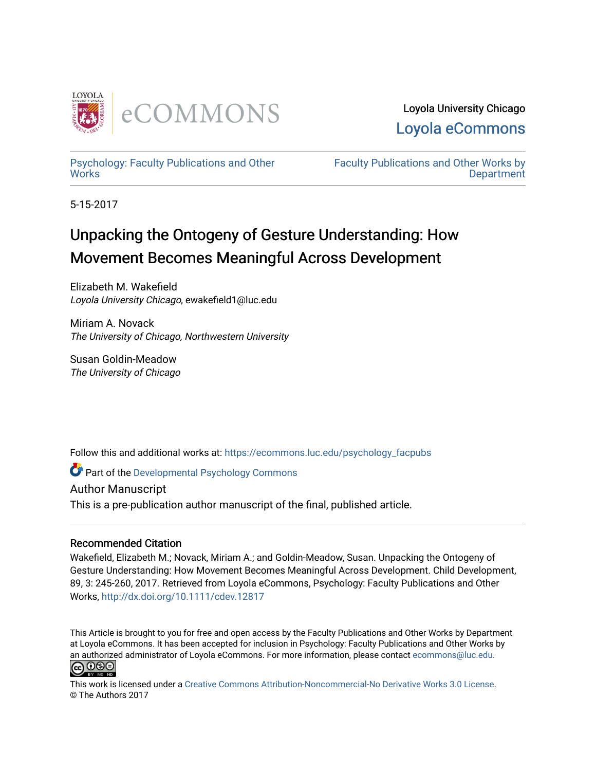

Loyola University Chicago [Loyola eCommons](https://ecommons.luc.edu/) 

[Psychology: Faculty Publications and Other](https://ecommons.luc.edu/psychology_facpubs) **Works** 

[Faculty Publications and Other Works by](https://ecommons.luc.edu/faculty)  **Department** 

5-15-2017

# Unpacking the Ontogeny of Gesture Understanding: How Movement Becomes Meaningful Across Development

Elizabeth M. Wakefield Loyola University Chicago, ewakefield1@luc.edu

Miriam A. Novack The University of Chicago, Northwestern University

Susan Goldin-Meadow The University of Chicago

Follow this and additional works at: [https://ecommons.luc.edu/psychology\\_facpubs](https://ecommons.luc.edu/psychology_facpubs?utm_source=ecommons.luc.edu%2Fpsychology_facpubs%2F48&utm_medium=PDF&utm_campaign=PDFCoverPages)

**C** Part of the Developmental Psychology Commons

Author Manuscript

This is a pre-publication author manuscript of the final, published article.

# Recommended Citation

Wakefield, Elizabeth M.; Novack, Miriam A.; and Goldin-Meadow, Susan. Unpacking the Ontogeny of Gesture Understanding: How Movement Becomes Meaningful Across Development. Child Development, 89, 3: 245-260, 2017. Retrieved from Loyola eCommons, Psychology: Faculty Publications and Other Works,<http://dx.doi.org/10.1111/cdev.12817>

This Article is brought to you for free and open access by the Faculty Publications and Other Works by Department at Loyola eCommons. It has been accepted for inclusion in Psychology: Faculty Publications and Other Works by an authorized administrator of Loyola eCommons. For more information, please contact [ecommons@luc.edu](mailto:ecommons@luc.edu).<br> $\boxed{\text{co O} \text{O} \text{O}}$ 



This work is licensed under a [Creative Commons Attribution-Noncommercial-No Derivative Works 3.0 License.](https://creativecommons.org/licenses/by-nc-nd/3.0/) © The Authors 2017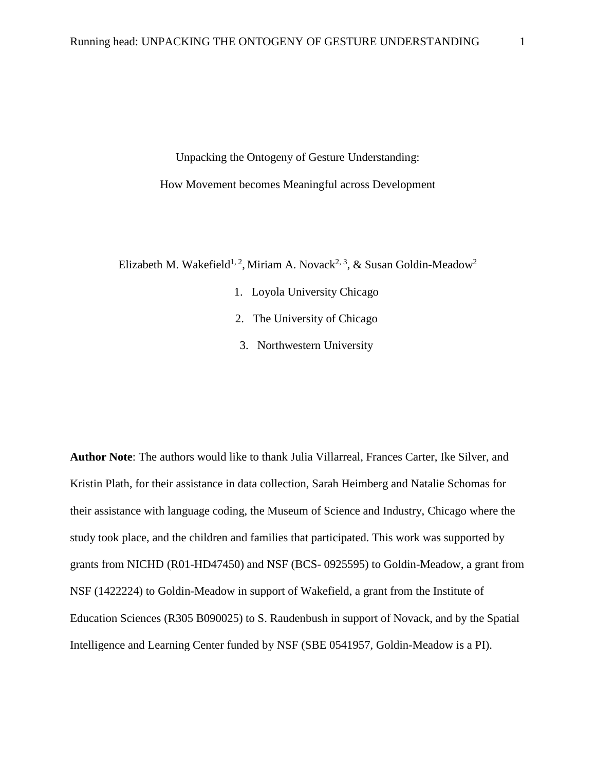Unpacking the Ontogeny of Gesture Understanding: How Movement becomes Meaningful across Development

Elizabeth M. Wakefield<sup>1, 2</sup>, Miriam A. Novack<sup>2, 3</sup>, & Susan Goldin-Meadow<sup>2</sup>

- 1. Loyola University Chicago
- 2. The University of Chicago
- 3. Northwestern University

**Author Note**: The authors would like to thank Julia Villarreal, Frances Carter, Ike Silver, and Kristin Plath, for their assistance in data collection, Sarah Heimberg and Natalie Schomas for their assistance with language coding, the Museum of Science and Industry, Chicago where the study took place, and the children and families that participated. This work was supported by grants from NICHD (R01-HD47450) and NSF (BCS- 0925595) to Goldin-Meadow, a grant from NSF (1422224) to Goldin-Meadow in support of Wakefield, a grant from the Institute of Education Sciences (R305 B090025) to S. Raudenbush in support of Novack, and by the Spatial Intelligence and Learning Center funded by NSF (SBE 0541957, Goldin-Meadow is a PI).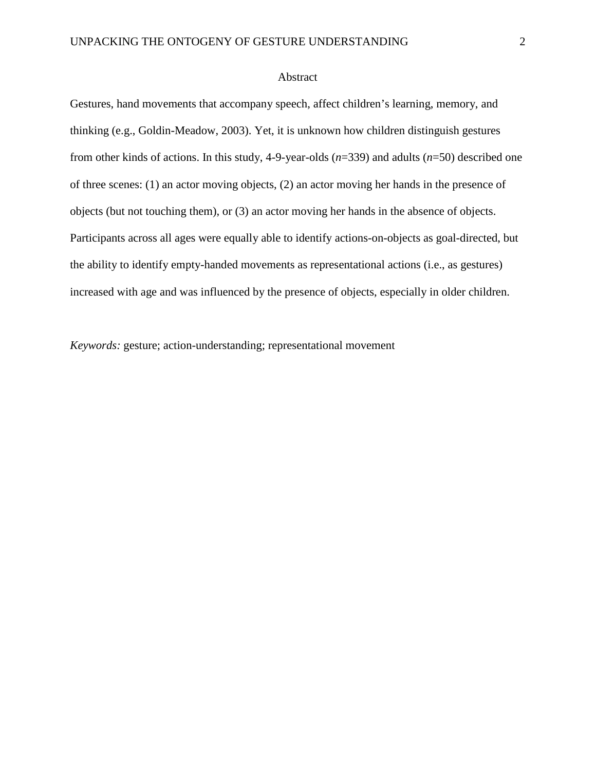#### Abstract

Gestures, hand movements that accompany speech, affect children's learning, memory, and thinking (e.g., Goldin-Meadow, 2003). Yet, it is unknown how children distinguish gestures from other kinds of actions. In this study, 4-9-year-olds (*n*=339) and adults (*n*=50) described one of three scenes: (1) an actor moving objects, (2) an actor moving her hands in the presence of objects (but not touching them), or (3) an actor moving her hands in the absence of objects. Participants across all ages were equally able to identify actions-on-objects as goal-directed, but the ability to identify empty-handed movements as representational actions (i.e., as gestures) increased with age and was influenced by the presence of objects, especially in older children.

*Keywords:* gesture; action-understanding; representational movement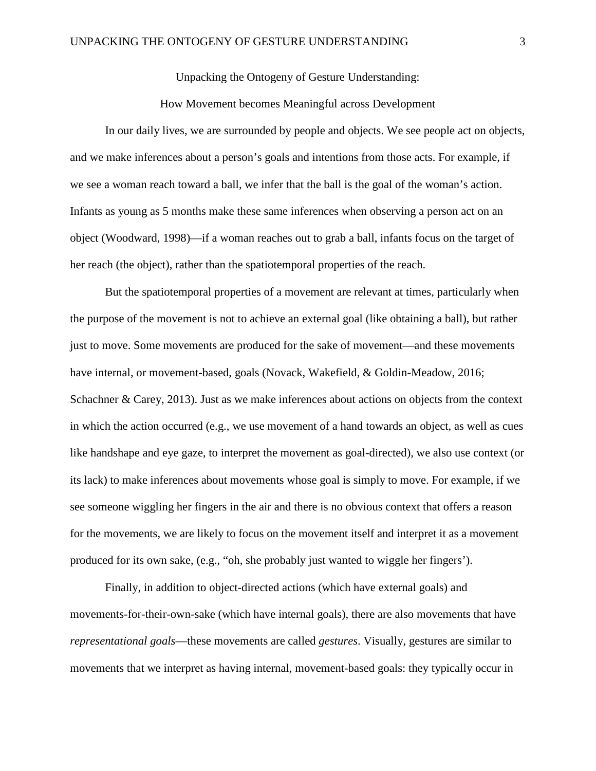Unpacking the Ontogeny of Gesture Understanding:

# How Movement becomes Meaningful across Development

In our daily lives, we are surrounded by people and objects. We see people act on objects, and we make inferences about a person's goals and intentions from those acts. For example, if we see a woman reach toward a ball, we infer that the ball is the goal of the woman's action. Infants as young as 5 months make these same inferences when observing a person act on an object (Woodward, 1998)––if a woman reaches out to grab a ball, infants focus on the target of her reach (the object), rather than the spatiotemporal properties of the reach.

But the spatiotemporal properties of a movement are relevant at times, particularly when the purpose of the movement is not to achieve an external goal (like obtaining a ball), but rather just to move. Some movements are produced for the sake of movement––and these movements have internal, or movement-based, goals (Novack, Wakefield, & Goldin-Meadow, 2016; Schachner & Carey, 2013). Just as we make inferences about actions on objects from the context in which the action occurred (e.g., we use movement of a hand towards an object, as well as cues like handshape and eye gaze, to interpret the movement as goal-directed), we also use context (or its lack) to make inferences about movements whose goal is simply to move. For example, if we see someone wiggling her fingers in the air and there is no obvious context that offers a reason for the movements, we are likely to focus on the movement itself and interpret it as a movement produced for its own sake, (e.g., "oh, she probably just wanted to wiggle her fingers').

Finally, in addition to object-directed actions (which have external goals) and movements-for-their-own-sake (which have internal goals), there are also movements that have *representational goals*––these movements are called *gestures*. Visually, gestures are similar to movements that we interpret as having internal, movement-based goals: they typically occur in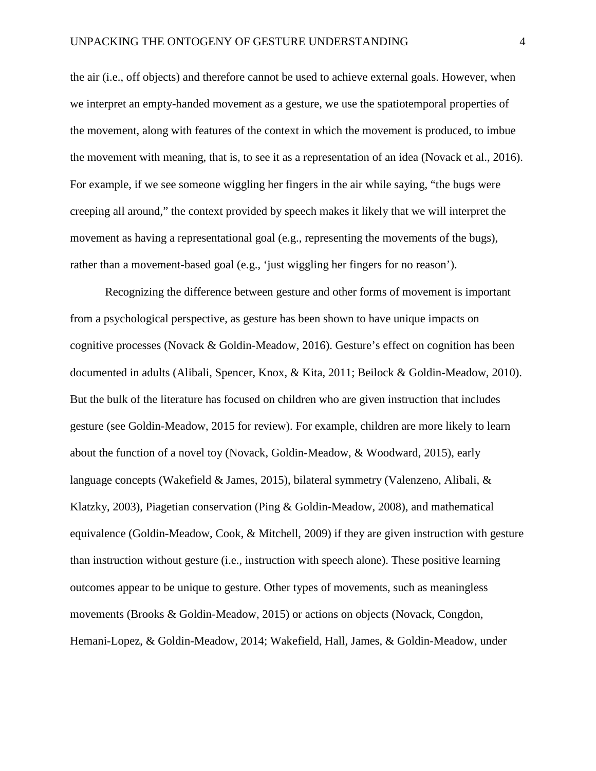the air (i.e., off objects) and therefore cannot be used to achieve external goals. However, when we interpret an empty-handed movement as a gesture, we use the spatiotemporal properties of the movement, along with features of the context in which the movement is produced, to imbue the movement with meaning, that is, to see it as a representation of an idea (Novack et al., 2016). For example, if we see someone wiggling her fingers in the air while saying, "the bugs were creeping all around," the context provided by speech makes it likely that we will interpret the movement as having a representational goal (e.g., representing the movements of the bugs), rather than a movement-based goal (e.g., 'just wiggling her fingers for no reason').

Recognizing the difference between gesture and other forms of movement is important from a psychological perspective, as gesture has been shown to have unique impacts on cognitive processes (Novack & Goldin-Meadow, 2016). Gesture's effect on cognition has been documented in adults (Alibali, Spencer, Knox, & Kita, 2011; Beilock & Goldin-Meadow, 2010). But the bulk of the literature has focused on children who are given instruction that includes gesture (see Goldin-Meadow, 2015 for review). For example, children are more likely to learn about the function of a novel toy (Novack, Goldin-Meadow, & Woodward, 2015), early language concepts (Wakefield & James, 2015), bilateral symmetry (Valenzeno, Alibali, & Klatzky, 2003), Piagetian conservation (Ping & Goldin-Meadow, 2008), and mathematical equivalence (Goldin-Meadow, Cook, & Mitchell, 2009) if they are given instruction with gesture than instruction without gesture (i.e., instruction with speech alone). These positive learning outcomes appear to be unique to gesture. Other types of movements, such as meaningless movements (Brooks & Goldin-Meadow, 2015) or actions on objects (Novack, Congdon, Hemani-Lopez, & Goldin-Meadow, 2014; Wakefield, Hall, James, & Goldin-Meadow, under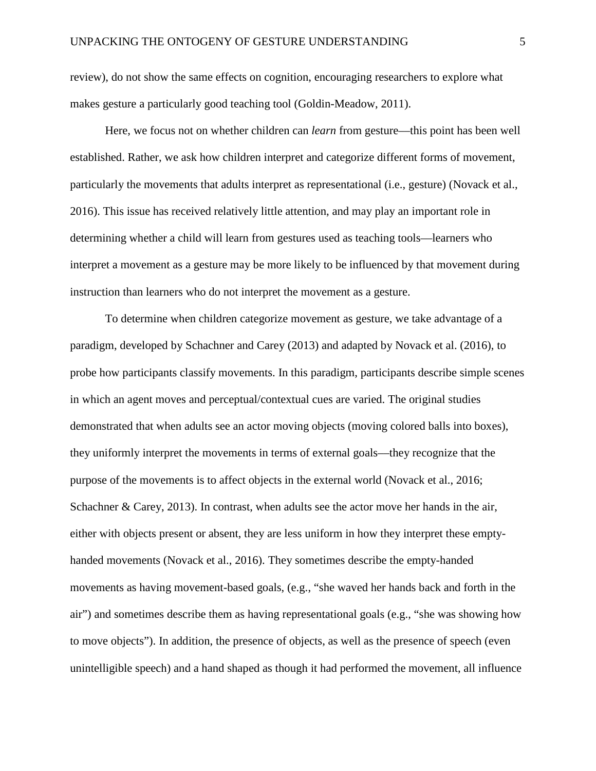review), do not show the same effects on cognition, encouraging researchers to explore what makes gesture a particularly good teaching tool (Goldin-Meadow, 2011).

Here, we focus not on whether children can *learn* from gesture––this point has been well established. Rather, we ask how children interpret and categorize different forms of movement, particularly the movements that adults interpret as representational (i.e., gesture) (Novack et al., 2016). This issue has received relatively little attention, and may play an important role in determining whether a child will learn from gestures used as teaching tools––learners who interpret a movement as a gesture may be more likely to be influenced by that movement during instruction than learners who do not interpret the movement as a gesture.

To determine when children categorize movement as gesture, we take advantage of a paradigm, developed by Schachner and Carey (2013) and adapted by Novack et al. (2016), to probe how participants classify movements. In this paradigm, participants describe simple scenes in which an agent moves and perceptual/contextual cues are varied. The original studies demonstrated that when adults see an actor moving objects (moving colored balls into boxes), they uniformly interpret the movements in terms of external goals––they recognize that the purpose of the movements is to affect objects in the external world (Novack et al., 2016; Schachner & Carey, 2013). In contrast, when adults see the actor move her hands in the air, either with objects present or absent, they are less uniform in how they interpret these emptyhanded movements (Novack et al., 2016). They sometimes describe the empty-handed movements as having movement-based goals, (e.g., "she waved her hands back and forth in the air") and sometimes describe them as having representational goals (e.g., "she was showing how to move objects"). In addition, the presence of objects, as well as the presence of speech (even unintelligible speech) and a hand shaped as though it had performed the movement, all influence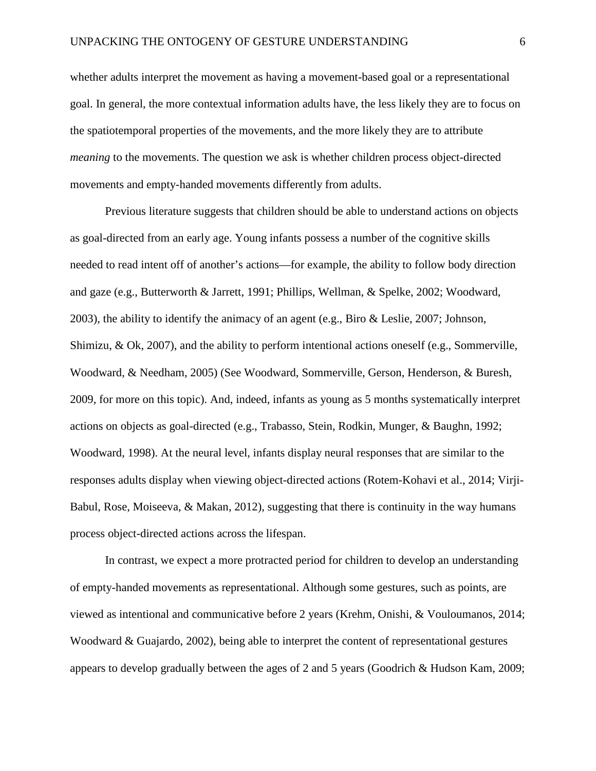whether adults interpret the movement as having a movement-based goal or a representational goal. In general, the more contextual information adults have, the less likely they are to focus on the spatiotemporal properties of the movements, and the more likely they are to attribute *meaning* to the movements. The question we ask is whether children process object-directed movements and empty-handed movements differently from adults.

Previous literature suggests that children should be able to understand actions on objects as goal-directed from an early age. Young infants possess a number of the cognitive skills needed to read intent off of another's actions––for example, the ability to follow body direction and gaze (e.g., Butterworth & Jarrett, 1991; Phillips, Wellman, & Spelke, 2002; Woodward, 2003), the ability to identify the animacy of an agent (e.g., Biro & Leslie, 2007; Johnson, Shimizu, & Ok, 2007), and the ability to perform intentional actions oneself (e.g., Sommerville, Woodward, & Needham, 2005) (See Woodward, Sommerville, Gerson, Henderson, & Buresh, 2009, for more on this topic). And, indeed, infants as young as 5 months systematically interpret actions on objects as goal-directed (e.g., Trabasso, Stein, Rodkin, Munger, & Baughn, 1992; Woodward, 1998). At the neural level, infants display neural responses that are similar to the responses adults display when viewing object-directed actions (Rotem-Kohavi et al., 2014; Virji-Babul, Rose, Moiseeva,  $\&$  Makan, 2012), suggesting that there is continuity in the way humans process object-directed actions across the lifespan.

In contrast, we expect a more protracted period for children to develop an understanding of empty-handed movements as representational. Although some gestures, such as points, are viewed as intentional and communicative before 2 years (Krehm, Onishi, & Vouloumanos, 2014; Woodward & Guajardo, 2002), being able to interpret the content of representational gestures appears to develop gradually between the ages of 2 and 5 years (Goodrich & Hudson Kam, 2009;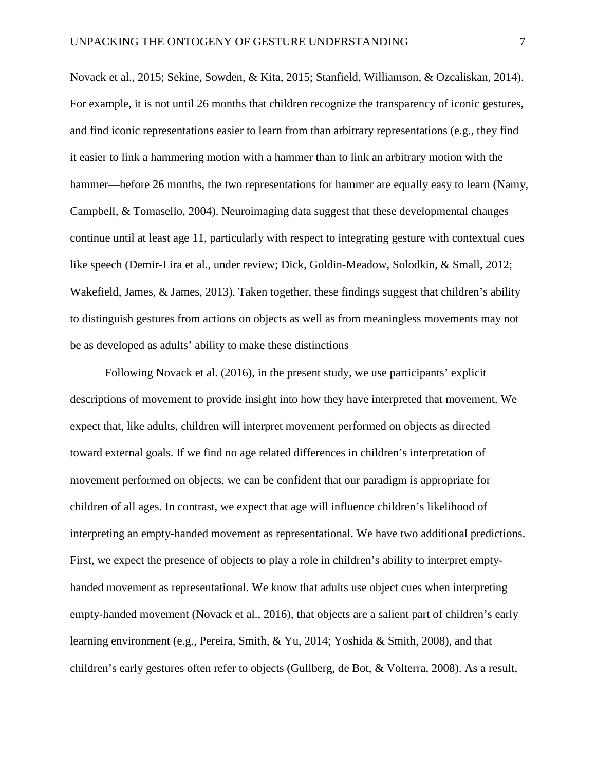Novack et al., 2015; Sekine, Sowden, & Kita, 2015; Stanfield, Williamson, & Ozcaliskan, 2014). For example, it is not until 26 months that children recognize the transparency of iconic gestures, and find iconic representations easier to learn from than arbitrary representations (e.g., they find it easier to link a hammering motion with a hammer than to link an arbitrary motion with the hammer—before 26 months, the two representations for hammer are equally easy to learn (Namy, Campbell, & Tomasello, 2004). Neuroimaging data suggest that these developmental changes continue until at least age 11, particularly with respect to integrating gesture with contextual cues like speech (Demir-Lira et al., under review; Dick, Goldin-Meadow, Solodkin, & Small, 2012; Wakefield, James, & James, 2013). Taken together, these findings suggest that children's ability to distinguish gestures from actions on objects as well as from meaningless movements may not be as developed as adults' ability to make these distinctions

Following Novack et al. (2016), in the present study, we use participants' explicit descriptions of movement to provide insight into how they have interpreted that movement. We expect that, like adults, children will interpret movement performed on objects as directed toward external goals. If we find no age related differences in children's interpretation of movement performed on objects, we can be confident that our paradigm is appropriate for children of all ages. In contrast, we expect that age will influence children's likelihood of interpreting an empty-handed movement as representational. We have two additional predictions. First, we expect the presence of objects to play a role in children's ability to interpret emptyhanded movement as representational. We know that adults use object cues when interpreting empty-handed movement (Novack et al., 2016), that objects are a salient part of children's early learning environment (e.g., Pereira, Smith, & Yu, 2014; Yoshida & Smith, 2008), and that children's early gestures often refer to objects (Gullberg, de Bot, & Volterra, 2008). As a result,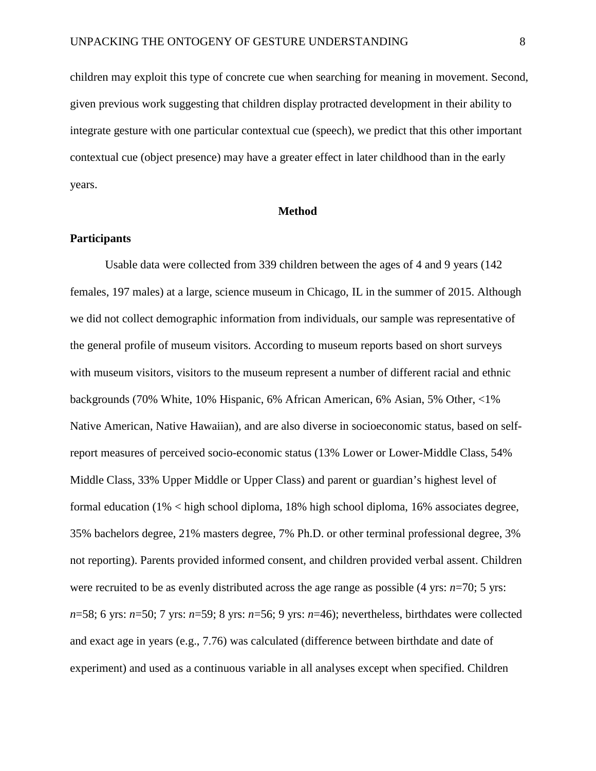children may exploit this type of concrete cue when searching for meaning in movement. Second, given previous work suggesting that children display protracted development in their ability to integrate gesture with one particular contextual cue (speech), we predict that this other important contextual cue (object presence) may have a greater effect in later childhood than in the early years.

#### **Method**

# **Participants**

Usable data were collected from 339 children between the ages of 4 and 9 years (142 females, 197 males) at a large, science museum in Chicago, IL in the summer of 2015. Although we did not collect demographic information from individuals, our sample was representative of the general profile of museum visitors. According to museum reports based on short surveys with museum visitors, visitors to the museum represent a number of different racial and ethnic backgrounds (70% White, 10% Hispanic, 6% African American, 6% Asian, 5% Other, <1% Native American, Native Hawaiian), and are also diverse in socioeconomic status, based on selfreport measures of perceived socio-economic status (13% Lower or Lower-Middle Class, 54% Middle Class, 33% Upper Middle or Upper Class) and parent or guardian's highest level of formal education (1% < high school diploma, 18% high school diploma, 16% associates degree, 35% bachelors degree, 21% masters degree, 7% Ph.D. or other terminal professional degree, 3% not reporting). Parents provided informed consent, and children provided verbal assent. Children were recruited to be as evenly distributed across the age range as possible (4 yrs: *n*=70; 5 yrs: *n*=58; 6 yrs: *n*=50; 7 yrs: *n*=59; 8 yrs: *n*=56; 9 yrs: *n*=46); nevertheless, birthdates were collected and exact age in years (e.g., 7.76) was calculated (difference between birthdate and date of experiment) and used as a continuous variable in all analyses except when specified. Children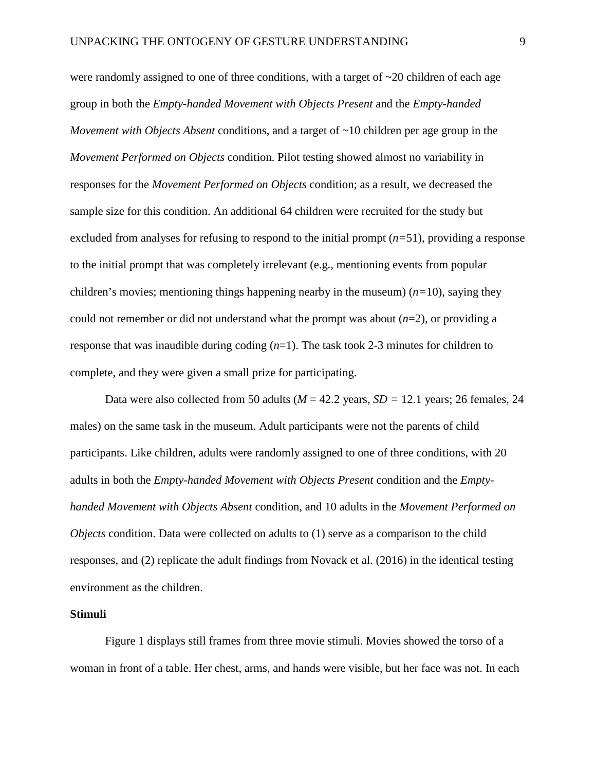were randomly assigned to one of three conditions, with a target of  $\sim$ 20 children of each age group in both the *Empty-handed Movement with Objects Present* and the *Empty-handed Movement with Objects Absent* conditions, and a target of ~10 children per age group in the *Movement Performed on Objects* condition. Pilot testing showed almost no variability in responses for the *Movement Performed on Objects* condition; as a result, we decreased the sample size for this condition. An additional 64 children were recruited for the study but excluded from analyses for refusing to respond to the initial prompt (*n=*51), providing a response to the initial prompt that was completely irrelevant (e.g., mentioning events from popular children's movies; mentioning things happening nearby in the museum)  $(n=10)$ , saying they could not remember or did not understand what the prompt was about  $(n=2)$ , or providing a response that was inaudible during coding (*n*=1). The task took 2-3 minutes for children to complete, and they were given a small prize for participating.

Data were also collected from 50 adults (*M* = 42.2 years, *SD =* 12.1 years; 26 females, 24 males) on the same task in the museum. Adult participants were not the parents of child participants. Like children, adults were randomly assigned to one of three conditions, with 20 adults in both the *Empty-handed Movement with Objects Present* condition and the *Emptyhanded Movement with Objects Absent* condition, and 10 adults in the *Movement Performed on Objects* condition. Data were collected on adults to (1) serve as a comparison to the child responses, and (2) replicate the adult findings from Novack et al. (2016) in the identical testing environment as the children.

#### **Stimuli**

Figure 1 displays still frames from three movie stimuli. Movies showed the torso of a woman in front of a table. Her chest, arms, and hands were visible, but her face was not. In each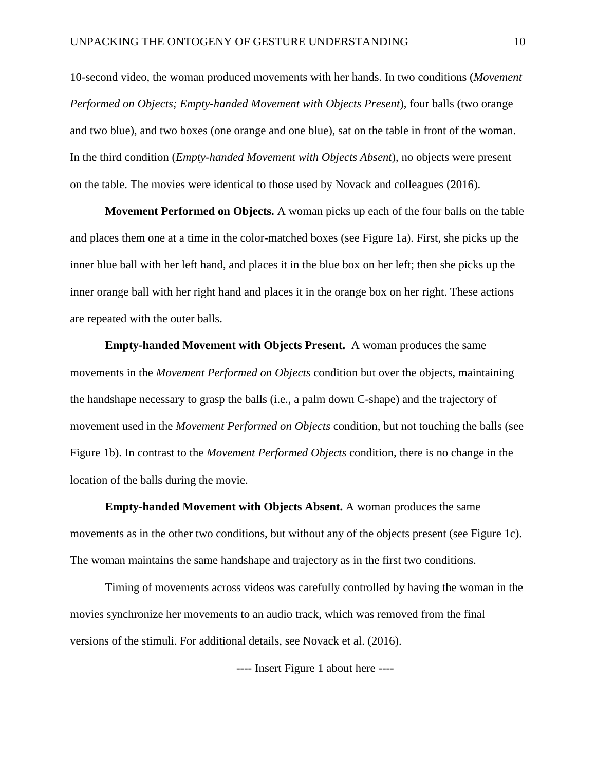10-second video, the woman produced movements with her hands. In two conditions (*Movement Performed on Objects; Empty-handed Movement with Objects Present*), four balls (two orange and two blue), and two boxes (one orange and one blue), sat on the table in front of the woman. In the third condition (*Empty-handed Movement with Objects Absent*), no objects were present on the table. The movies were identical to those used by Novack and colleagues (2016).

**Movement Performed on Objects.** A woman picks up each of the four balls on the table and places them one at a time in the color-matched boxes (see Figure 1a). First, she picks up the inner blue ball with her left hand, and places it in the blue box on her left; then she picks up the inner orange ball with her right hand and places it in the orange box on her right. These actions are repeated with the outer balls.

**Empty-handed Movement with Objects Present.** A woman produces the same movements in the *Movement Performed on Objects* condition but over the objects, maintaining the handshape necessary to grasp the balls (i.e., a palm down C-shape) and the trajectory of movement used in the *Movement Performed on Objects* condition, but not touching the balls (see Figure 1b). In contrast to the *Movement Performed Objects* condition, there is no change in the location of the balls during the movie.

**Empty-handed Movement with Objects Absent.** A woman produces the same movements as in the other two conditions, but without any of the objects present (see Figure 1c). The woman maintains the same handshape and trajectory as in the first two conditions.

Timing of movements across videos was carefully controlled by having the woman in the movies synchronize her movements to an audio track, which was removed from the final versions of the stimuli. For additional details, see Novack et al. (2016).

---- Insert Figure 1 about here ----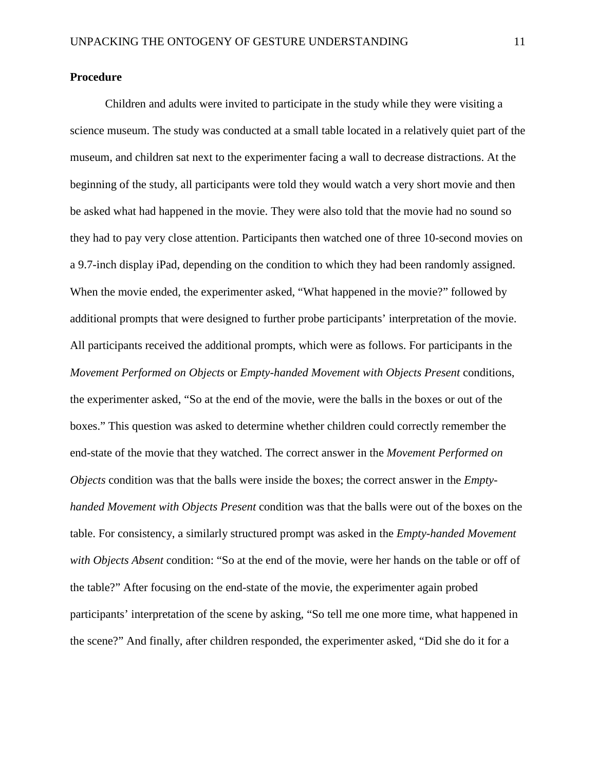# **Procedure**

Children and adults were invited to participate in the study while they were visiting a science museum. The study was conducted at a small table located in a relatively quiet part of the museum, and children sat next to the experimenter facing a wall to decrease distractions. At the beginning of the study, all participants were told they would watch a very short movie and then be asked what had happened in the movie. They were also told that the movie had no sound so they had to pay very close attention. Participants then watched one of three 10-second movies on a 9.7-inch display iPad, depending on the condition to which they had been randomly assigned. When the movie ended, the experimenter asked, "What happened in the movie?" followed by additional prompts that were designed to further probe participants' interpretation of the movie. All participants received the additional prompts, which were as follows. For participants in the *Movement Performed on Objects* or *Empty-handed Movement with Objects Present* conditions, the experimenter asked, "So at the end of the movie, were the balls in the boxes or out of the boxes." This question was asked to determine whether children could correctly remember the end-state of the movie that they watched. The correct answer in the *Movement Performed on Objects* condition was that the balls were inside the boxes; the correct answer in the *Emptyhanded Movement with Objects Present* condition was that the balls were out of the boxes on the table. For consistency, a similarly structured prompt was asked in the *Empty-handed Movement with Objects Absent* condition: "So at the end of the movie, were her hands on the table or off of the table?" After focusing on the end-state of the movie, the experimenter again probed participants' interpretation of the scene by asking, "So tell me one more time, what happened in the scene?" And finally, after children responded, the experimenter asked, "Did she do it for a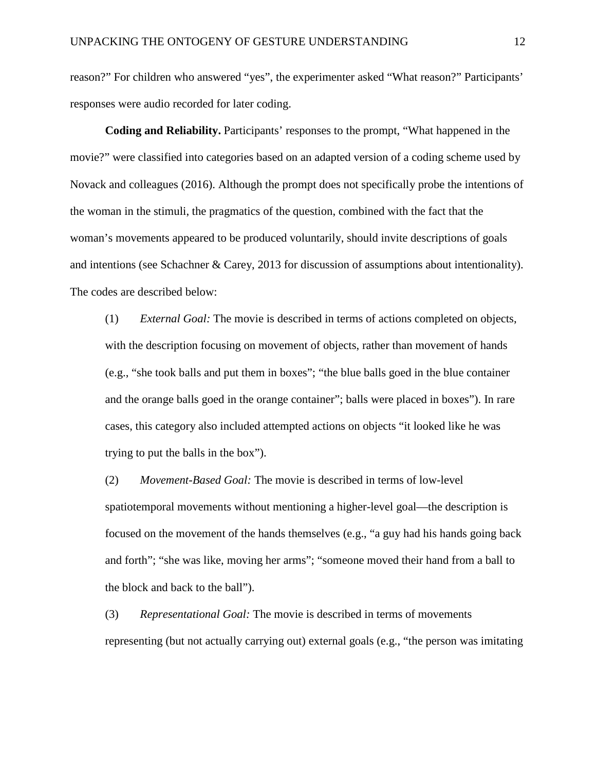reason?" For children who answered "yes", the experimenter asked "What reason?" Participants' responses were audio recorded for later coding.

**Coding and Reliability.** Participants' responses to the prompt, "What happened in the movie?" were classified into categories based on an adapted version of a coding scheme used by Novack and colleagues (2016). Although the prompt does not specifically probe the intentions of the woman in the stimuli, the pragmatics of the question, combined with the fact that the woman's movements appeared to be produced voluntarily, should invite descriptions of goals and intentions (see Schachner & Carey, 2013 for discussion of assumptions about intentionality). The codes are described below:

(1) *External Goal:* The movie is described in terms of actions completed on objects, with the description focusing on movement of objects, rather than movement of hands (e.g., "she took balls and put them in boxes"; "the blue balls goed in the blue container and the orange balls goed in the orange container"; balls were placed in boxes"). In rare cases, this category also included attempted actions on objects "it looked like he was trying to put the balls in the box").

(2) *Movement-Based Goal:* The movie is described in terms of low-level spatiotemporal movements without mentioning a higher-level goal––the description is focused on the movement of the hands themselves (e.g., "a guy had his hands going back and forth"; "she was like, moving her arms"; "someone moved their hand from a ball to the block and back to the ball").

(3) *Representational Goal:* The movie is described in terms of movements representing (but not actually carrying out) external goals (e.g., "the person was imitating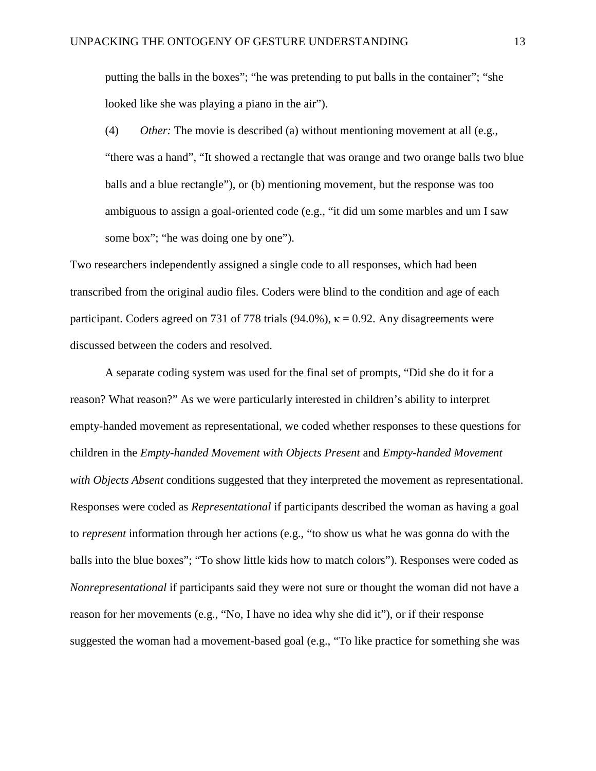putting the balls in the boxes"; "he was pretending to put balls in the container"; "she looked like she was playing a piano in the air").

(4) *Other:* The movie is described (a) without mentioning movement at all (e.g., "there was a hand", "It showed a rectangle that was orange and two orange balls two blue balls and a blue rectangle"), or (b) mentioning movement, but the response was too ambiguous to assign a goal-oriented code (e.g., "it did um some marbles and um I saw some box"; "he was doing one by one").

Two researchers independently assigned a single code to all responses, which had been transcribed from the original audio files. Coders were blind to the condition and age of each participant. Coders agreed on 731 of 778 trials (94.0%),  $\kappa = 0.92$ . Any disagreements were discussed between the coders and resolved.

A separate coding system was used for the final set of prompts, "Did she do it for a reason? What reason?" As we were particularly interested in children's ability to interpret empty-handed movement as representational, we coded whether responses to these questions for children in the *Empty-handed Movement with Objects Present* and *Empty-handed Movement with Objects Absent* conditions suggested that they interpreted the movement as representational. Responses were coded as *Representational* if participants described the woman as having a goal to *represent* information through her actions (e.g., "to show us what he was gonna do with the balls into the blue boxes"; "To show little kids how to match colors"). Responses were coded as *Nonrepresentational* if participants said they were not sure or thought the woman did not have a reason for her movements (e.g., "No, I have no idea why she did it"), or if their response suggested the woman had a movement-based goal (e.g., "To like practice for something she was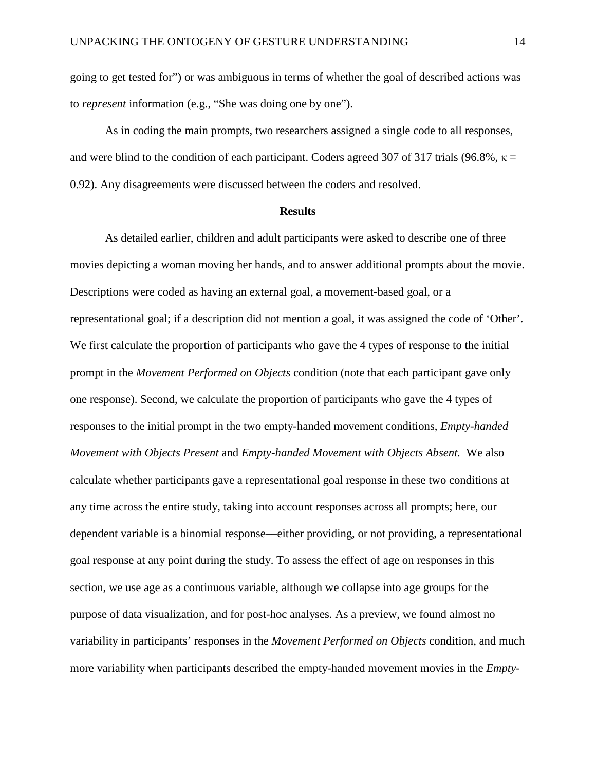going to get tested for") or was ambiguous in terms of whether the goal of described actions was to *represent* information (e.g., "She was doing one by one").

As in coding the main prompts, two researchers assigned a single code to all responses, and were blind to the condition of each participant. Coders agreed 307 of 317 trials (96.8%,  $\kappa$  = 0.92). Any disagreements were discussed between the coders and resolved.

#### **Results**

As detailed earlier, children and adult participants were asked to describe one of three movies depicting a woman moving her hands, and to answer additional prompts about the movie. Descriptions were coded as having an external goal, a movement-based goal, or a representational goal; if a description did not mention a goal, it was assigned the code of 'Other'. We first calculate the proportion of participants who gave the 4 types of response to the initial prompt in the *Movement Performed on Objects* condition (note that each participant gave only one response). Second, we calculate the proportion of participants who gave the 4 types of responses to the initial prompt in the two empty-handed movement conditions, *Empty-handed Movement with Objects Present* and *Empty-handed Movement with Objects Absent.* We also calculate whether participants gave a representational goal response in these two conditions at any time across the entire study, taking into account responses across all prompts; here, our dependent variable is a binomial response––either providing, or not providing, a representational goal response at any point during the study. To assess the effect of age on responses in this section, we use age as a continuous variable, although we collapse into age groups for the purpose of data visualization, and for post-hoc analyses. As a preview, we found almost no variability in participants' responses in the *Movement Performed on Objects* condition, and much more variability when participants described the empty-handed movement movies in the *Empty-*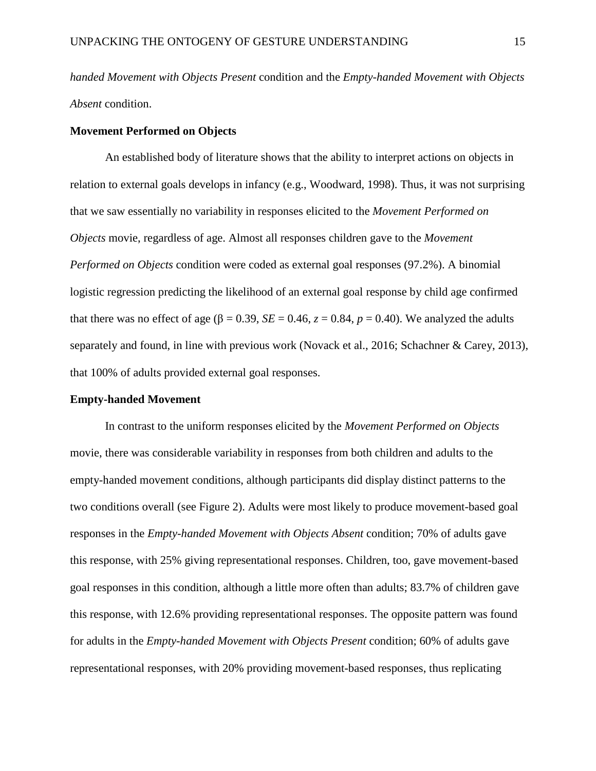*handed Movement with Objects Present* condition and the *Empty-handed Movement with Objects Absent* condition.

# **Movement Performed on Objects**

An established body of literature shows that the ability to interpret actions on objects in relation to external goals develops in infancy (e.g., Woodward, 1998). Thus, it was not surprising that we saw essentially no variability in responses elicited to the *Movement Performed on Objects* movie, regardless of age. Almost all responses children gave to the *Movement Performed on Objects* condition were coded as external goal responses (97.2%). A binomial logistic regression predicting the likelihood of an external goal response by child age confirmed that there was no effect of age ( $\beta = 0.39$ ,  $SE = 0.46$ ,  $z = 0.84$ ,  $p = 0.40$ ). We analyzed the adults separately and found, in line with previous work (Novack et al., 2016; Schachner & Carey, 2013), that 100% of adults provided external goal responses.

#### **Empty-handed Movement**

In contrast to the uniform responses elicited by the *Movement Performed on Objects*  movie, there was considerable variability in responses from both children and adults to the empty-handed movement conditions, although participants did display distinct patterns to the two conditions overall (see Figure 2). Adults were most likely to produce movement-based goal responses in the *Empty-handed Movement with Objects Absent* condition; 70% of adults gave this response, with 25% giving representational responses. Children, too, gave movement-based goal responses in this condition, although a little more often than adults; 83.7% of children gave this response, with 12.6% providing representational responses. The opposite pattern was found for adults in the *Empty-handed Movement with Objects Present* condition; 60% of adults gave representational responses, with 20% providing movement-based responses, thus replicating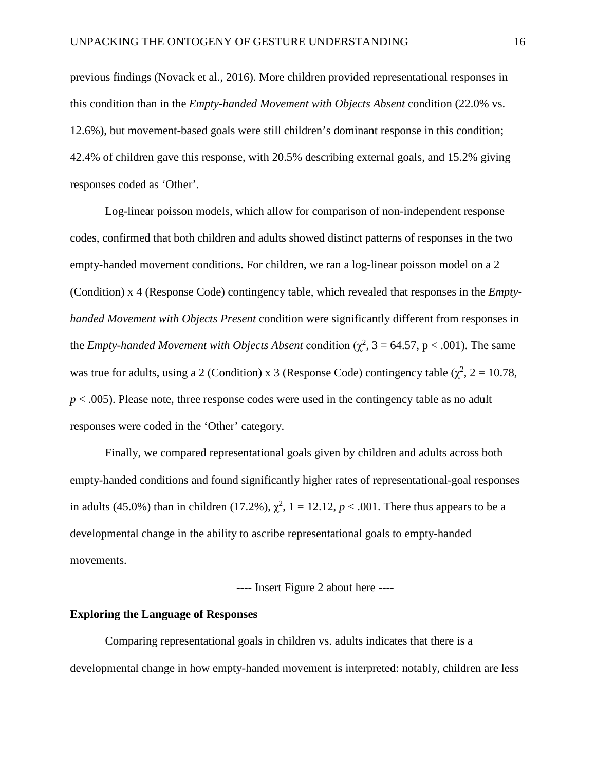previous findings (Novack et al., 2016). More children provided representational responses in this condition than in the *Empty-handed Movement with Objects Absent* condition (22.0% vs. 12.6%), but movement-based goals were still children's dominant response in this condition; 42.4% of children gave this response, with 20.5% describing external goals, and 15.2% giving responses coded as 'Other'.

Log-linear poisson models, which allow for comparison of non-independent response codes, confirmed that both children and adults showed distinct patterns of responses in the two empty-handed movement conditions. For children, we ran a log-linear poisson model on a 2 (Condition) x 4 (Response Code) contingency table, which revealed that responses in the *Emptyhanded Movement with Objects Present* condition were significantly different from responses in the *Empty-handed Movement with Objects Absent* condition ( $\chi^2$ , 3 = 64.57, p < .001). The same was true for adults, using a 2 (Condition) x 3 (Response Code) contingency table ( $\chi^2$ , 2 = 10.78, *p* < .005). Please note, three response codes were used in the contingency table as no adult responses were coded in the 'Other' category.

Finally, we compared representational goals given by children and adults across both empty-handed conditions and found significantly higher rates of representational-goal responses in adults (45.0%) than in children (17.2%),  $\chi^2$ , 1 = 12.12, *p* < .001. There thus appears to be a developmental change in the ability to ascribe representational goals to empty-handed movements.

---- Insert Figure 2 about here ----

# **Exploring the Language of Responses**

Comparing representational goals in children vs. adults indicates that there is a developmental change in how empty-handed movement is interpreted: notably, children are less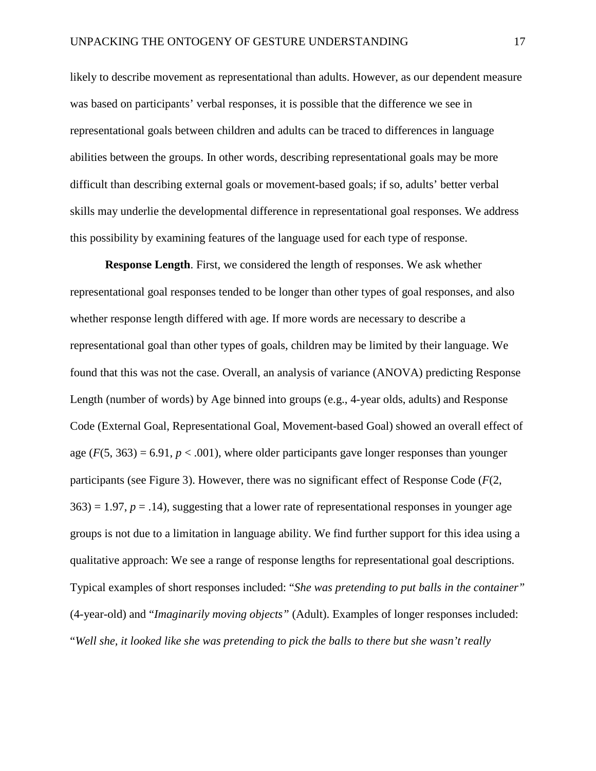likely to describe movement as representational than adults. However, as our dependent measure was based on participants' verbal responses, it is possible that the difference we see in representational goals between children and adults can be traced to differences in language abilities between the groups. In other words, describing representational goals may be more difficult than describing external goals or movement-based goals; if so, adults' better verbal skills may underlie the developmental difference in representational goal responses. We address this possibility by examining features of the language used for each type of response.

**Response Length**. First, we considered the length of responses. We ask whether representational goal responses tended to be longer than other types of goal responses, and also whether response length differed with age. If more words are necessary to describe a representational goal than other types of goals, children may be limited by their language. We found that this was not the case. Overall, an analysis of variance (ANOVA) predicting Response Length (number of words) by Age binned into groups (e.g., 4-year olds, adults) and Response Code (External Goal, Representational Goal, Movement-based Goal) showed an overall effect of age  $(F(5, 363) = 6.91, p < .001)$ , where older participants gave longer responses than younger participants (see Figure 3). However, there was no significant effect of Response Code (*F*(2,  $363$  = 1.97,  $p = 0.14$ ), suggesting that a lower rate of representational responses in younger age groups is not due to a limitation in language ability. We find further support for this idea using a qualitative approach: We see a range of response lengths for representational goal descriptions. Typical examples of short responses included: "*She was pretending to put balls in the container"* (4-year-old) and "*Imaginarily moving objects"* (Adult). Examples of longer responses included: "*Well she, it looked like she was pretending to pick the balls to there but she wasn't really*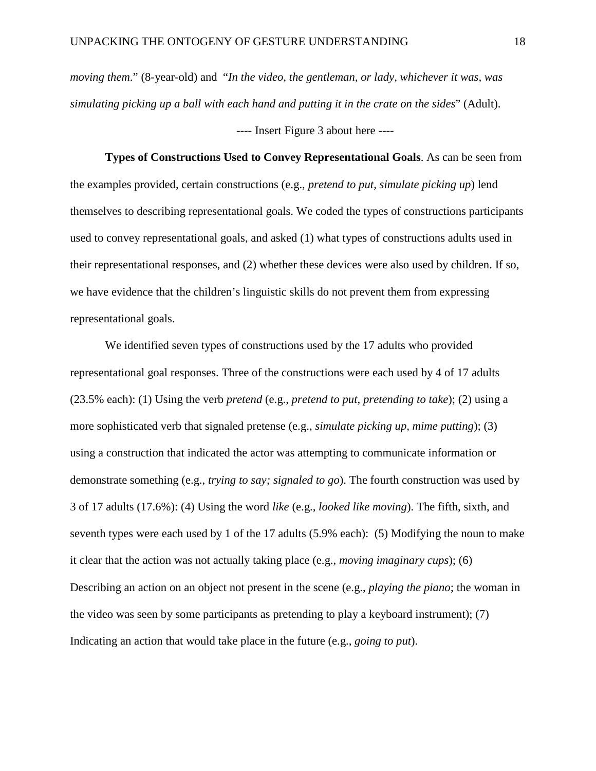*moving them*." (8-year-old) and "*In the video, the gentleman, or lady, whichever it was, was simulating picking up a ball with each hand and putting it in the crate on the sides*" (Adult).

---- Insert Figure 3 about here ----

**Types of Constructions Used to Convey Representational Goals**. As can be seen from the examples provided, certain constructions (e.g., *pretend to put, simulate picking up*) lend themselves to describing representational goals. We coded the types of constructions participants used to convey representational goals, and asked (1) what types of constructions adults used in their representational responses, and (2) whether these devices were also used by children. If so, we have evidence that the children's linguistic skills do not prevent them from expressing representational goals.

We identified seven types of constructions used by the 17 adults who provided representational goal responses. Three of the constructions were each used by 4 of 17 adults (23.5% each): (1) Using the verb *pretend* (e.g., *pretend to put, pretending to take*); (2) using a more sophisticated verb that signaled pretense (e.g., *simulate picking up, mime putting*); (3) using a construction that indicated the actor was attempting to communicate information or demonstrate something (e.g., *trying to say; signaled to go*). The fourth construction was used by 3 of 17 adults (17.6%): (4) Using the word *like* (e.g., *looked like moving*). The fifth, sixth, and seventh types were each used by 1 of the 17 adults (5.9% each): (5) Modifying the noun to make it clear that the action was not actually taking place (e.g., *moving imaginary cups*); (6) Describing an action on an object not present in the scene (e.g., *playing the piano*; the woman in the video was seen by some participants as pretending to play a keyboard instrument); (7) Indicating an action that would take place in the future (e.g., *going to put*).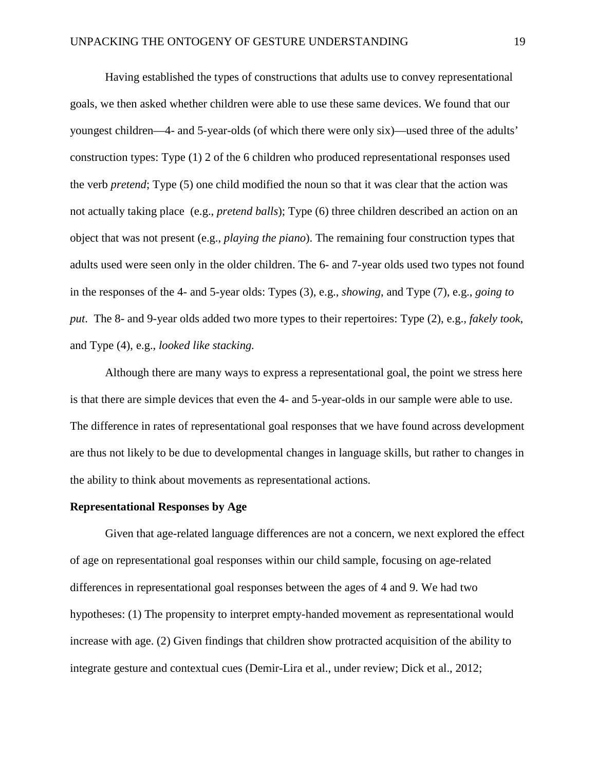Having established the types of constructions that adults use to convey representational goals, we then asked whether children were able to use these same devices. We found that our youngest children––4- and 5-year-olds (of which there were only six)––used three of the adults' construction types: Type (1) 2 of the 6 children who produced representational responses used the verb *pretend*; Type (5) one child modified the noun so that it was clear that the action was not actually taking place (e.g., *pretend balls*); Type (6) three children described an action on an object that was not present (e.g., *playing the piano*). The remaining four construction types that adults used were seen only in the older children. The 6- and 7-year olds used two types not found in the responses of the 4- and 5-year olds: Types (3), e.g., *showing*, and Type (7), e.g., *going to put*. The 8- and 9-year olds added two more types to their repertoires: Type (2), e.g., *fakely took*, and Type (4), e.g., *looked like stacking.*

Although there are many ways to express a representational goal, the point we stress here is that there are simple devices that even the 4- and 5-year-olds in our sample were able to use. The difference in rates of representational goal responses that we have found across development are thus not likely to be due to developmental changes in language skills, but rather to changes in the ability to think about movements as representational actions.

#### **Representational Responses by Age**

Given that age-related language differences are not a concern, we next explored the effect of age on representational goal responses within our child sample, focusing on age-related differences in representational goal responses between the ages of 4 and 9. We had two hypotheses: (1) The propensity to interpret empty-handed movement as representational would increase with age. (2) Given findings that children show protracted acquisition of the ability to integrate gesture and contextual cues (Demir-Lira et al., under review; Dick et al., 2012;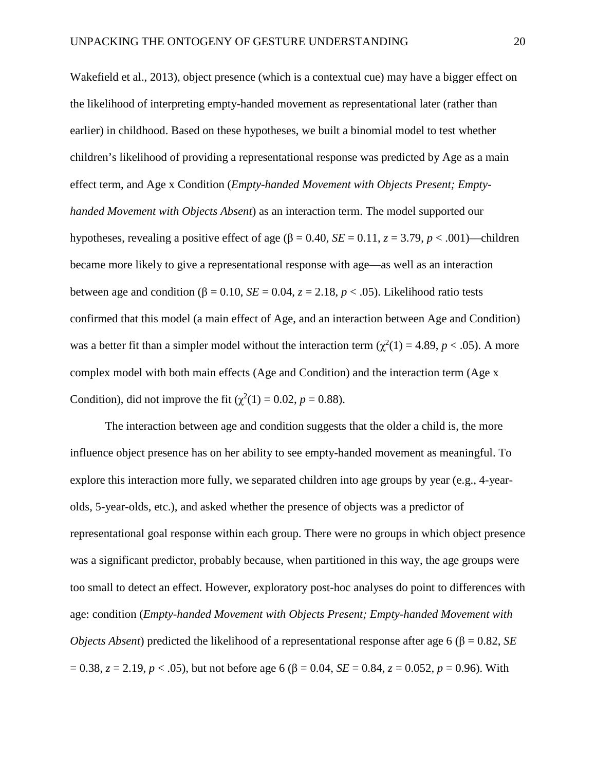Wakefield et al., 2013), object presence (which is a contextual cue) may have a bigger effect on the likelihood of interpreting empty-handed movement as representational later (rather than earlier) in childhood. Based on these hypotheses, we built a binomial model to test whether children's likelihood of providing a representational response was predicted by Age as a main effect term, and Age x Condition (*Empty-handed Movement with Objects Present; Emptyhanded Movement with Objects Absent*) as an interaction term. The model supported our hypotheses, revealing a positive effect of age (β = 0.40, *SE* = 0.11, *z* = 3.79, *p* < .001)––children became more likely to give a representational response with age––as well as an interaction between age and condition (β = 0.10, *SE* = 0.04, *z* = 2.18, *p* < .05). Likelihood ratio tests confirmed that this model (a main effect of Age, and an interaction between Age and Condition) was a better fit than a simpler model without the interaction term ( $\chi^2(1) = 4.89$ ,  $p < .05$ ). A more complex model with both main effects (Age and Condition) and the interaction term (Age x Condition), did not improve the fit ( $\chi^2(1) = 0.02$ ,  $p = 0.88$ ).

The interaction between age and condition suggests that the older a child is, the more influence object presence has on her ability to see empty-handed movement as meaningful. To explore this interaction more fully, we separated children into age groups by year (e.g., 4-yearolds, 5-year-olds, etc.), and asked whether the presence of objects was a predictor of representational goal response within each group. There were no groups in which object presence was a significant predictor, probably because, when partitioned in this way, the age groups were too small to detect an effect. However, exploratory post-hoc analyses do point to differences with age: condition (*Empty-handed Movement with Objects Present; Empty-handed Movement with Objects Absent*) predicted the likelihood of a representational response after age 6 ( $\beta = 0.82$ , *SE*)  $= 0.38$ , *z* = 2.19, *p* < .05), but not before age 6 (β = 0.04, *SE* = 0.84, *z* = 0.052, *p* = 0.96). With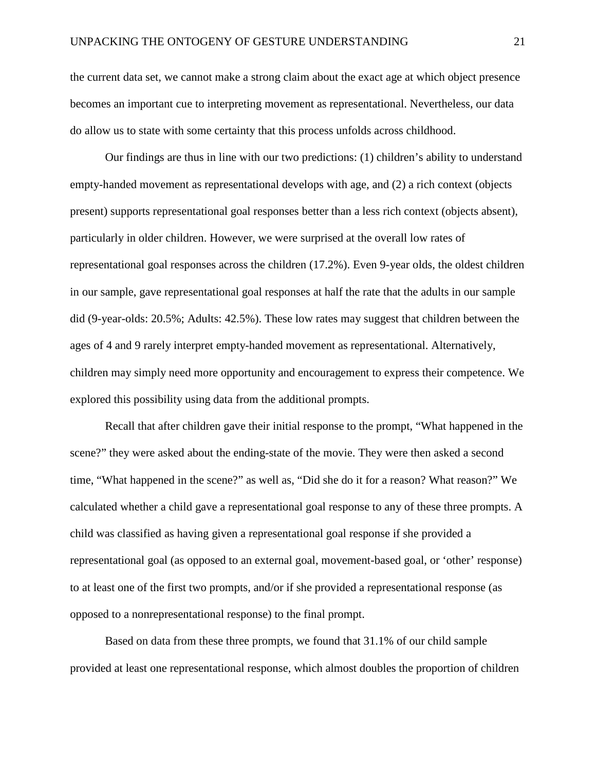the current data set, we cannot make a strong claim about the exact age at which object presence becomes an important cue to interpreting movement as representational. Nevertheless, our data do allow us to state with some certainty that this process unfolds across childhood.

Our findings are thus in line with our two predictions: (1) children's ability to understand empty-handed movement as representational develops with age, and (2) a rich context (objects present) supports representational goal responses better than a less rich context (objects absent), particularly in older children. However, we were surprised at the overall low rates of representational goal responses across the children (17.2%). Even 9-year olds, the oldest children in our sample, gave representational goal responses at half the rate that the adults in our sample did (9-year-olds: 20.5%; Adults: 42.5%). These low rates may suggest that children between the ages of 4 and 9 rarely interpret empty-handed movement as representational. Alternatively, children may simply need more opportunity and encouragement to express their competence. We explored this possibility using data from the additional prompts.

Recall that after children gave their initial response to the prompt, "What happened in the scene?" they were asked about the ending-state of the movie. They were then asked a second time, "What happened in the scene?" as well as, "Did she do it for a reason? What reason?" We calculated whether a child gave a representational goal response to any of these three prompts. A child was classified as having given a representational goal response if she provided a representational goal (as opposed to an external goal, movement-based goal, or 'other' response) to at least one of the first two prompts, and/or if she provided a representational response (as opposed to a nonrepresentational response) to the final prompt.

Based on data from these three prompts, we found that 31.1% of our child sample provided at least one representational response, which almost doubles the proportion of children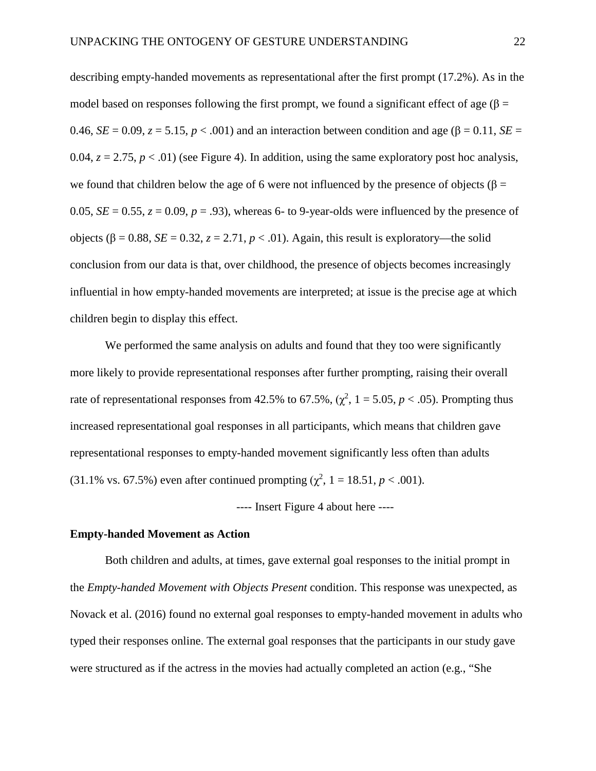describing empty-handed movements as representational after the first prompt (17.2%). As in the model based on responses following the first prompt, we found a significant effect of age ( $\beta$  = 0.46, *SE* = 0.09, *z* = 5.15, *p* < .001) and an interaction between condition and age (β = 0.11, *SE* = 0.04,  $z = 2.75$ ,  $p < .01$ ) (see Figure 4). In addition, using the same exploratory post hoc analysis, we found that children below the age of 6 were not influenced by the presence of objects ( $\beta$  = 0.05,  $SE = 0.55$ ,  $z = 0.09$ ,  $p = .93$ ), whereas 6- to 9-year-olds were influenced by the presence of objects (β = 0.88, *SE* = 0.32, *z* = 2.71, *p* < .01). Again, this result is exploratory—the solid conclusion from our data is that, over childhood, the presence of objects becomes increasingly influential in how empty-handed movements are interpreted; at issue is the precise age at which children begin to display this effect.

We performed the same analysis on adults and found that they too were significantly more likely to provide representational responses after further prompting, raising their overall rate of representational responses from 42.5% to 67.5%,  $(\chi^2, 1 = 5.05, p < .05)$ . Prompting thus increased representational goal responses in all participants, which means that children gave representational responses to empty-handed movement significantly less often than adults (31.1% vs. 67.5%) even after continued prompting  $(\chi^2, 1 = 18.51, p < .001)$ .

---- Insert Figure 4 about here ----

#### **Empty-handed Movement as Action**

Both children and adults, at times, gave external goal responses to the initial prompt in the *Empty-handed Movement with Objects Present* condition. This response was unexpected, as Novack et al. (2016) found no external goal responses to empty-handed movement in adults who typed their responses online. The external goal responses that the participants in our study gave were structured as if the actress in the movies had actually completed an action (e.g., "She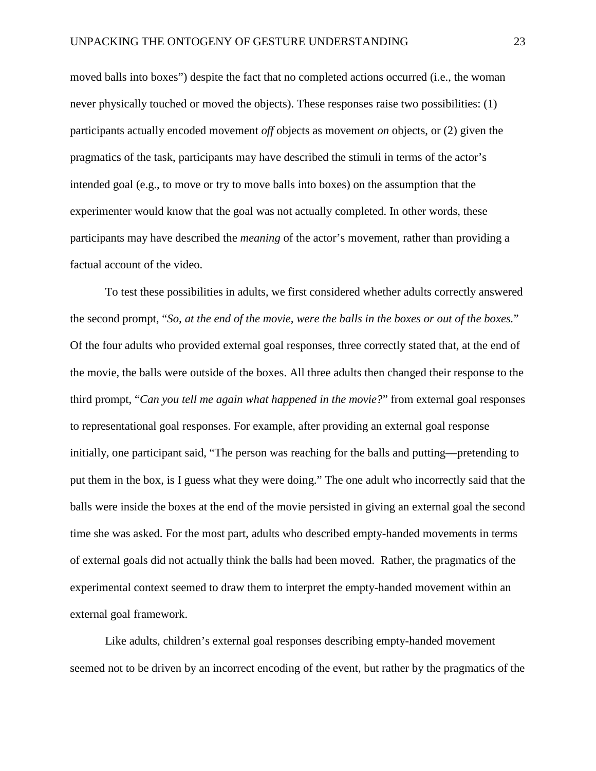moved balls into boxes") despite the fact that no completed actions occurred (i.e., the woman never physically touched or moved the objects). These responses raise two possibilities: (1) participants actually encoded movement *off* objects as movement *on* objects, or (2) given the pragmatics of the task, participants may have described the stimuli in terms of the actor's intended goal (e.g., to move or try to move balls into boxes) on the assumption that the experimenter would know that the goal was not actually completed. In other words, these participants may have described the *meaning* of the actor's movement, rather than providing a factual account of the video.

To test these possibilities in adults, we first considered whether adults correctly answered the second prompt, "*So, at the end of the movie, were the balls in the boxes or out of the boxes.*" Of the four adults who provided external goal responses, three correctly stated that, at the end of the movie, the balls were outside of the boxes. All three adults then changed their response to the third prompt, "*Can you tell me again what happened in the movie?*" from external goal responses to representational goal responses. For example, after providing an external goal response initially, one participant said, "The person was reaching for the balls and putting––pretending to put them in the box, is I guess what they were doing." The one adult who incorrectly said that the balls were inside the boxes at the end of the movie persisted in giving an external goal the second time she was asked. For the most part, adults who described empty-handed movements in terms of external goals did not actually think the balls had been moved. Rather, the pragmatics of the experimental context seemed to draw them to interpret the empty-handed movement within an external goal framework.

Like adults, children's external goal responses describing empty-handed movement seemed not to be driven by an incorrect encoding of the event, but rather by the pragmatics of the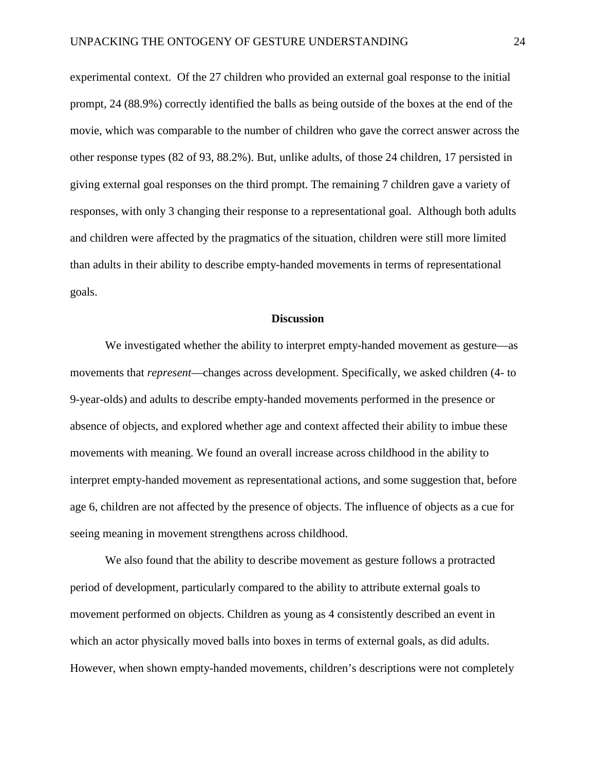experimental context. Of the 27 children who provided an external goal response to the initial prompt, 24 (88.9%) correctly identified the balls as being outside of the boxes at the end of the movie, which was comparable to the number of children who gave the correct answer across the other response types (82 of 93, 88.2%). But, unlike adults, of those 24 children, 17 persisted in giving external goal responses on the third prompt. The remaining 7 children gave a variety of responses, with only 3 changing their response to a representational goal. Although both adults and children were affected by the pragmatics of the situation, children were still more limited than adults in their ability to describe empty-handed movements in terms of representational goals.

#### **Discussion**

We investigated whether the ability to interpret empty-handed movement as gesture––as movements that *represent*––changes across development. Specifically, we asked children (4- to 9-year-olds) and adults to describe empty-handed movements performed in the presence or absence of objects, and explored whether age and context affected their ability to imbue these movements with meaning. We found an overall increase across childhood in the ability to interpret empty-handed movement as representational actions, and some suggestion that, before age 6, children are not affected by the presence of objects. The influence of objects as a cue for seeing meaning in movement strengthens across childhood.

We also found that the ability to describe movement as gesture follows a protracted period of development, particularly compared to the ability to attribute external goals to movement performed on objects. Children as young as 4 consistently described an event in which an actor physically moved balls into boxes in terms of external goals, as did adults. However, when shown empty-handed movements, children's descriptions were not completely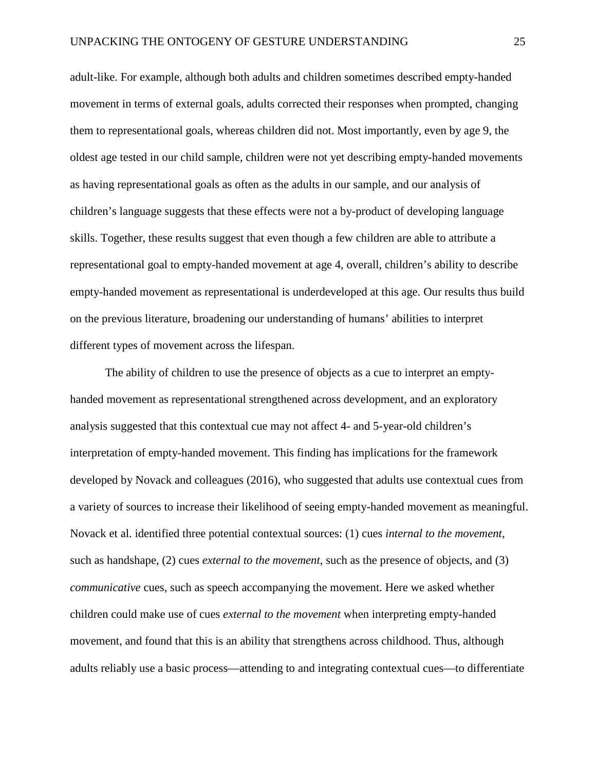adult-like. For example, although both adults and children sometimes described empty-handed movement in terms of external goals, adults corrected their responses when prompted, changing them to representational goals, whereas children did not. Most importantly, even by age 9, the oldest age tested in our child sample, children were not yet describing empty-handed movements as having representational goals as often as the adults in our sample, and our analysis of children's language suggests that these effects were not a by-product of developing language skills. Together, these results suggest that even though a few children are able to attribute a representational goal to empty-handed movement at age 4, overall, children's ability to describe empty-handed movement as representational is underdeveloped at this age. Our results thus build on the previous literature, broadening our understanding of humans' abilities to interpret different types of movement across the lifespan.

The ability of children to use the presence of objects as a cue to interpret an emptyhanded movement as representational strengthened across development, and an exploratory analysis suggested that this contextual cue may not affect 4- and 5-year-old children's interpretation of empty-handed movement. This finding has implications for the framework developed by Novack and colleagues (2016), who suggested that adults use contextual cues from a variety of sources to increase their likelihood of seeing empty-handed movement as meaningful. Novack et al. identified three potential contextual sources: (1) cues *internal to the movement*, such as handshape, (2) cues *external to the movement*, such as the presence of objects, and (3) *communicative* cues, such as speech accompanying the movement. Here we asked whether children could make use of cues *external to the movement* when interpreting empty-handed movement, and found that this is an ability that strengthens across childhood. Thus, although adults reliably use a basic process––attending to and integrating contextual cues––to differentiate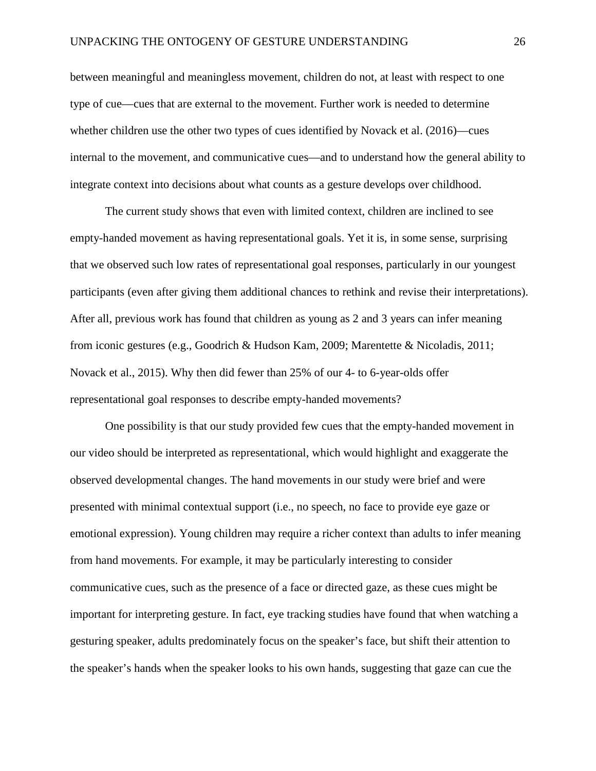between meaningful and meaningless movement, children do not, at least with respect to one type of cue––cues that are external to the movement. Further work is needed to determine whether children use the other two types of cues identified by Novack et al. (2016)—cues internal to the movement, and communicative cues––and to understand how the general ability to integrate context into decisions about what counts as a gesture develops over childhood.

The current study shows that even with limited context, children are inclined to see empty-handed movement as having representational goals. Yet it is, in some sense, surprising that we observed such low rates of representational goal responses, particularly in our youngest participants (even after giving them additional chances to rethink and revise their interpretations). After all, previous work has found that children as young as 2 and 3 years can infer meaning from iconic gestures (e.g., Goodrich & Hudson Kam, 2009; Marentette & Nicoladis, 2011; Novack et al., 2015). Why then did fewer than 25% of our 4- to 6-year-olds offer representational goal responses to describe empty-handed movements?

One possibility is that our study provided few cues that the empty-handed movement in our video should be interpreted as representational, which would highlight and exaggerate the observed developmental changes. The hand movements in our study were brief and were presented with minimal contextual support (i.e., no speech, no face to provide eye gaze or emotional expression). Young children may require a richer context than adults to infer meaning from hand movements. For example, it may be particularly interesting to consider communicative cues, such as the presence of a face or directed gaze, as these cues might be important for interpreting gesture. In fact, eye tracking studies have found that when watching a gesturing speaker, adults predominately focus on the speaker's face, but shift their attention to the speaker's hands when the speaker looks to his own hands, suggesting that gaze can cue the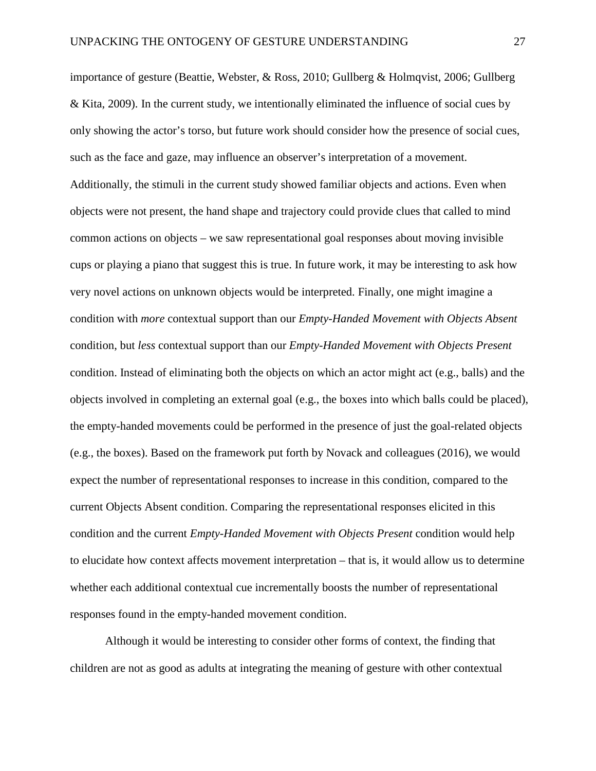importance of gesture (Beattie, Webster, & Ross, 2010; Gullberg & Holmqvist, 2006; Gullberg & Kita, 2009). In the current study, we intentionally eliminated the influence of social cues by only showing the actor's torso, but future work should consider how the presence of social cues, such as the face and gaze, may influence an observer's interpretation of a movement. Additionally, the stimuli in the current study showed familiar objects and actions. Even when objects were not present, the hand shape and trajectory could provide clues that called to mind common actions on objects – we saw representational goal responses about moving invisible cups or playing a piano that suggest this is true. In future work, it may be interesting to ask how very novel actions on unknown objects would be interpreted. Finally, one might imagine a condition with *more* contextual support than our *Empty-Handed Movement with Objects Absent* condition, but *less* contextual support than our *Empty-Handed Movement with Objects Present*  condition. Instead of eliminating both the objects on which an actor might act (e.g., balls) and the objects involved in completing an external goal (e.g., the boxes into which balls could be placed), the empty-handed movements could be performed in the presence of just the goal-related objects (e.g., the boxes). Based on the framework put forth by Novack and colleagues (2016), we would expect the number of representational responses to increase in this condition, compared to the current Objects Absent condition. Comparing the representational responses elicited in this condition and the current *Empty-Handed Movement with Objects Present* condition would help to elucidate how context affects movement interpretation – that is, it would allow us to determine whether each additional contextual cue incrementally boosts the number of representational responses found in the empty-handed movement condition.

Although it would be interesting to consider other forms of context, the finding that children are not as good as adults at integrating the meaning of gesture with other contextual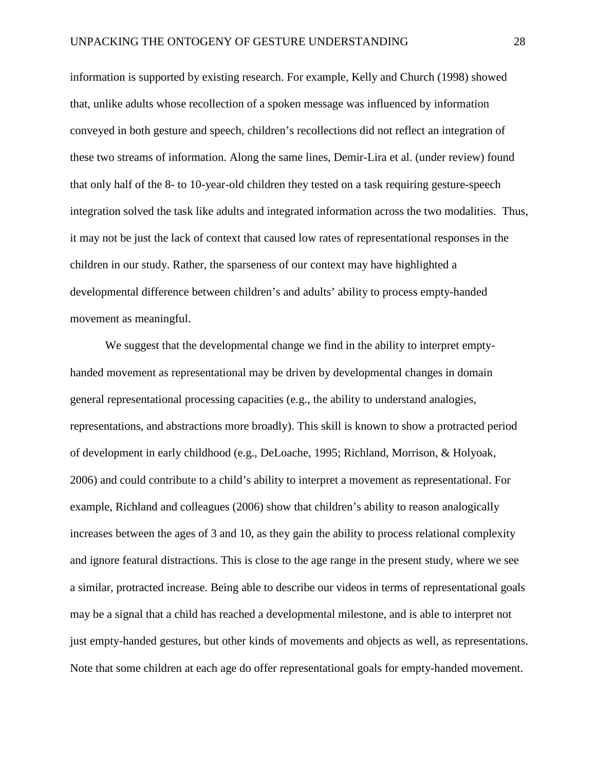information is supported by existing research. For example, Kelly and Church (1998) showed that, unlike adults whose recollection of a spoken message was influenced by information conveyed in both gesture and speech, children's recollections did not reflect an integration of these two streams of information. Along the same lines, Demir-Lira et al. (under review) found that only half of the 8- to 10-year-old children they tested on a task requiring gesture-speech integration solved the task like adults and integrated information across the two modalities. Thus, it may not be just the lack of context that caused low rates of representational responses in the children in our study. Rather, the sparseness of our context may have highlighted a developmental difference between children's and adults' ability to process empty-handed movement as meaningful.

We suggest that the developmental change we find in the ability to interpret emptyhanded movement as representational may be driven by developmental changes in domain general representational processing capacities (e.g., the ability to understand analogies, representations, and abstractions more broadly). This skill is known to show a protracted period of development in early childhood (e.g., DeLoache, 1995; Richland, Morrison, & Holyoak, 2006) and could contribute to a child's ability to interpret a movement as representational. For example, Richland and colleagues (2006) show that children's ability to reason analogically increases between the ages of 3 and 10, as they gain the ability to process relational complexity and ignore featural distractions. This is close to the age range in the present study, where we see a similar, protracted increase. Being able to describe our videos in terms of representational goals may be a signal that a child has reached a developmental milestone, and is able to interpret not just empty-handed gestures, but other kinds of movements and objects as well, as representations. Note that some children at each age do offer representational goals for empty-handed movement.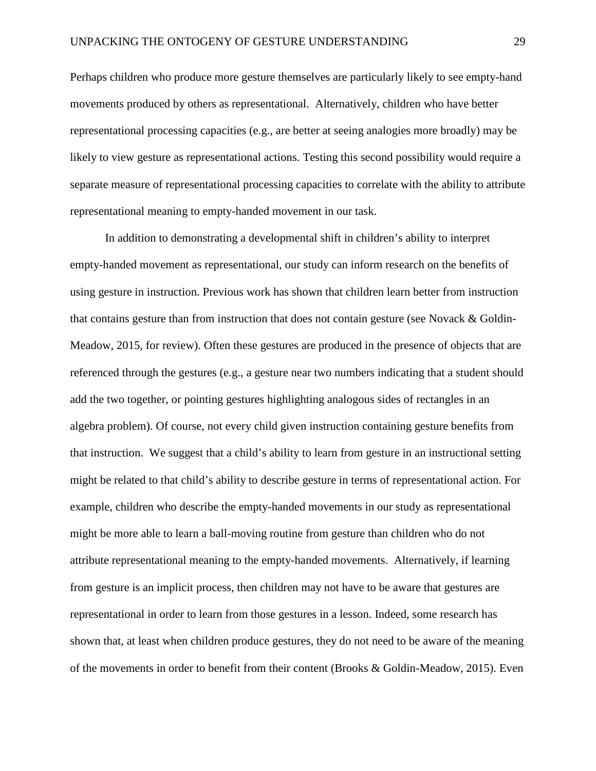Perhaps children who produce more gesture themselves are particularly likely to see empty-hand movements produced by others as representational. Alternatively, children who have better representational processing capacities (e.g., are better at seeing analogies more broadly) may be likely to view gesture as representational actions. Testing this second possibility would require a separate measure of representational processing capacities to correlate with the ability to attribute representational meaning to empty-handed movement in our task.

In addition to demonstrating a developmental shift in children's ability to interpret empty-handed movement as representational, our study can inform research on the benefits of using gesture in instruction. Previous work has shown that children learn better from instruction that contains gesture than from instruction that does not contain gesture (see Novack & Goldin-Meadow, 2015, for review). Often these gestures are produced in the presence of objects that are referenced through the gestures (e.g., a gesture near two numbers indicating that a student should add the two together, or pointing gestures highlighting analogous sides of rectangles in an algebra problem). Of course, not every child given instruction containing gesture benefits from that instruction. We suggest that a child's ability to learn from gesture in an instructional setting might be related to that child's ability to describe gesture in terms of representational action. For example, children who describe the empty-handed movements in our study as representational might be more able to learn a ball-moving routine from gesture than children who do not attribute representational meaning to the empty-handed movements. Alternatively, if learning from gesture is an implicit process, then children may not have to be aware that gestures are representational in order to learn from those gestures in a lesson. Indeed, some research has shown that, at least when children produce gestures, they do not need to be aware of the meaning of the movements in order to benefit from their content (Brooks & Goldin-Meadow, 2015). Even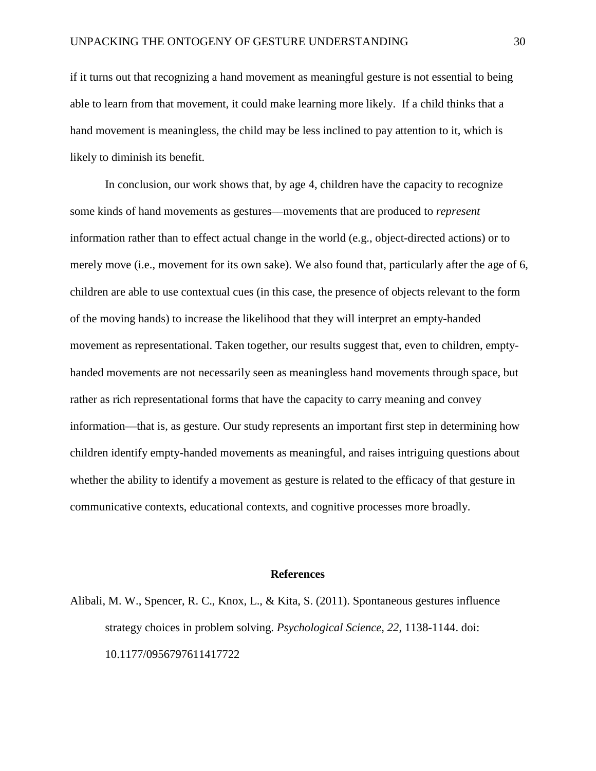if it turns out that recognizing a hand movement as meaningful gesture is not essential to being able to learn from that movement, it could make learning more likely. If a child thinks that a hand movement is meaningless, the child may be less inclined to pay attention to it, which is likely to diminish its benefit.

In conclusion, our work shows that, by age 4, children have the capacity to recognize some kinds of hand movements as gestures––movements that are produced to *represent*  information rather than to effect actual change in the world (e.g., object-directed actions) or to merely move (i.e., movement for its own sake). We also found that, particularly after the age of 6, children are able to use contextual cues (in this case, the presence of objects relevant to the form of the moving hands) to increase the likelihood that they will interpret an empty-handed movement as representational. Taken together, our results suggest that, even to children, emptyhanded movements are not necessarily seen as meaningless hand movements through space, but rather as rich representational forms that have the capacity to carry meaning and convey information––that is, as gesture. Our study represents an important first step in determining how children identify empty-handed movements as meaningful, and raises intriguing questions about whether the ability to identify a movement as gesture is related to the efficacy of that gesture in communicative contexts, educational contexts, and cognitive processes more broadly.

#### **References**

Alibali, M. W., Spencer, R. C., Knox, L., & Kita, S. (2011). Spontaneous gestures influence strategy choices in problem solving. *Psychological Science, 22*, 1138-1144. doi: 10.1177/0956797611417722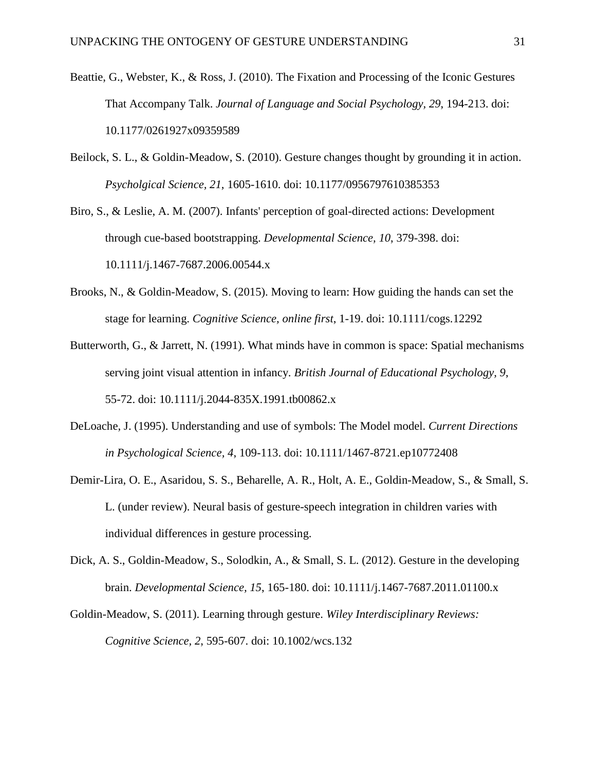- Beattie, G., Webster, K., & Ross, J. (2010). The Fixation and Processing of the Iconic Gestures That Accompany Talk. *Journal of Language and Social Psychology, 29*, 194-213. doi: 10.1177/0261927x09359589
- Beilock, S. L., & Goldin-Meadow, S. (2010). Gesture changes thought by grounding it in action. *Psycholgical Science, 21*, 1605-1610. doi: 10.1177/0956797610385353
- Biro, S., & Leslie, A. M. (2007). Infants' perception of goal-directed actions: Development through cue-based bootstrapping. *Developmental Science, 10*, 379-398. doi: 10.1111/j.1467-7687.2006.00544.x
- Brooks, N., & Goldin-Meadow, S. (2015). Moving to learn: How guiding the hands can set the stage for learning. *Cognitive Science, online first*, 1-19. doi: 10.1111/cogs.12292
- Butterworth, G., & Jarrett, N. (1991). What minds have in common is space: Spatial mechanisms serving joint visual attention in infancy. *British Journal of Educational Psychology, 9*, 55-72. doi: 10.1111/j.2044-835X.1991.tb00862.x
- DeLoache, J. (1995). Understanding and use of symbols: The Model model. *Current Directions in Psychological Science, 4*, 109-113. doi: 10.1111/1467-8721.ep10772408
- Demir-Lira, O. E., Asaridou, S. S., Beharelle, A. R., Holt, A. E., Goldin-Meadow, S., & Small, S. L. (under review). Neural basis of gesture-speech integration in children varies with individual differences in gesture processing.
- Dick, A. S., Goldin-Meadow, S., Solodkin, A., & Small, S. L. (2012). Gesture in the developing brain. *Developmental Science, 15*, 165-180. doi: 10.1111/j.1467-7687.2011.01100.x
- Goldin-Meadow, S. (2011). Learning through gesture. *Wiley Interdisciplinary Reviews: Cognitive Science, 2*, 595-607. doi: 10.1002/wcs.132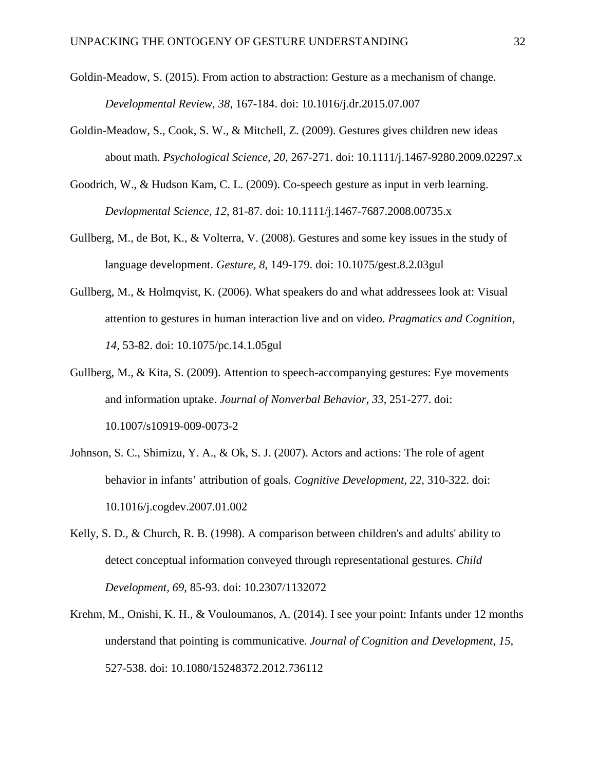- Goldin-Meadow, S. (2015). From action to abstraction: Gesture as a mechanism of change. *Developmental Review, 38*, 167-184. doi: 10.1016/j.dr.2015.07.007
- Goldin-Meadow, S., Cook, S. W., & Mitchell, Z. (2009). Gestures gives children new ideas about math. *Psychological Science, 20*, 267-271. doi: 10.1111/j.1467-9280.2009.02297.x
- Goodrich, W., & Hudson Kam, C. L. (2009). Co-speech gesture as input in verb learning. *Devlopmental Science, 12*, 81-87. doi: 10.1111/j.1467-7687.2008.00735.x
- Gullberg, M., de Bot, K., & Volterra, V. (2008). Gestures and some key issues in the study of language development. *Gesture, 8*, 149-179. doi: 10.1075/gest.8.2.03gul
- Gullberg, M., & Holmqvist, K. (2006). What speakers do and what addressees look at: Visual attention to gestures in human interaction live and on video. *Pragmatics and Cognition, 14*, 53-82. doi: 10.1075/pc.14.1.05gul
- Gullberg, M., & Kita, S. (2009). Attention to speech-accompanying gestures: Eye movements and information uptake. *Journal of Nonverbal Behavior, 33*, 251-277. doi: 10.1007/s10919-009-0073-2
- Johnson, S. C., Shimizu, Y. A., & Ok, S. J. (2007). Actors and actions: The role of agent behavior in infants' attribution of goals. *Cognitive Development, 22*, 310-322. doi: 10.1016/j.cogdev.2007.01.002
- Kelly, S. D., & Church, R. B. (1998). A comparison between children's and adults' ability to detect conceptual information conveyed through representational gestures. *Child Development, 69*, 85-93. doi: 10.2307/1132072
- Krehm, M., Onishi, K. H., & Vouloumanos, A. (2014). I see your point: Infants under 12 months understand that pointing is communicative. *Journal of Cognition and Development, 15*, 527-538. doi: 10.1080/15248372.2012.736112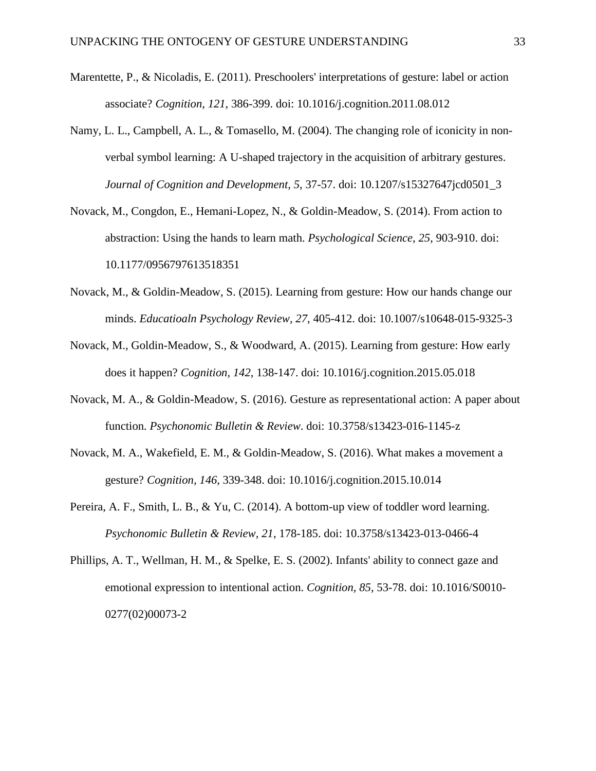- Marentette, P., & Nicoladis, E. (2011). Preschoolers' interpretations of gesture: label or action associate? *Cognition, 121*, 386-399. doi: 10.1016/j.cognition.2011.08.012
- Namy, L. L., Campbell, A. L., & Tomasello, M. (2004). The changing role of iconicity in nonverbal symbol learning: A U-shaped trajectory in the acquisition of arbitrary gestures. *Journal of Cognition and Development, 5*, 37-57. doi: 10.1207/s15327647jcd0501\_3
- Novack, M., Congdon, E., Hemani-Lopez, N., & Goldin-Meadow, S. (2014). From action to abstraction: Using the hands to learn math. *Psychological Science, 25*, 903-910. doi: 10.1177/0956797613518351
- Novack, M., & Goldin-Meadow, S. (2015). Learning from gesture: How our hands change our minds. *Educatioaln Psychology Review, 27*, 405-412. doi: 10.1007/s10648-015-9325-3
- Novack, M., Goldin-Meadow, S., & Woodward, A. (2015). Learning from gesture: How early does it happen? *Cognition, 142*, 138-147. doi: 10.1016/j.cognition.2015.05.018
- Novack, M. A., & Goldin-Meadow, S. (2016). Gesture as representational action: A paper about function. *Psychonomic Bulletin & Review*. doi: 10.3758/s13423-016-1145-z
- Novack, M. A., Wakefield, E. M., & Goldin-Meadow, S. (2016). What makes a movement a gesture? *Cognition, 146*, 339-348. doi: 10.1016/j.cognition.2015.10.014
- Pereira, A. F., Smith, L. B., & Yu, C. (2014). A bottom-up view of toddler word learning. *Psychonomic Bulletin & Review, 21*, 178-185. doi: 10.3758/s13423-013-0466-4
- Phillips, A. T., Wellman, H. M., & Spelke, E. S. (2002). Infants' ability to connect gaze and emotional expression to intentional action. *Cognition, 85*, 53-78. doi: 10.1016/S0010- 0277(02)00073-2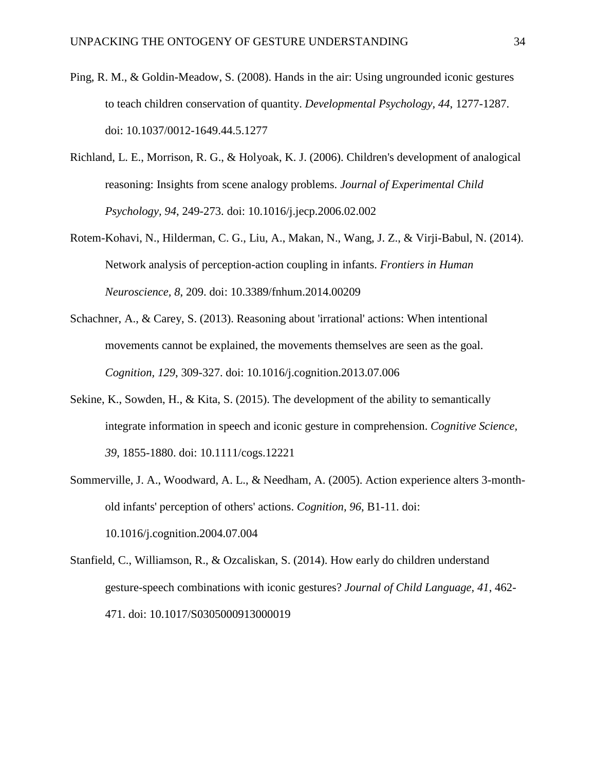- Ping, R. M., & Goldin-Meadow, S. (2008). Hands in the air: Using ungrounded iconic gestures to teach children conservation of quantity. *Developmental Psychology, 44*, 1277-1287. doi: 10.1037/0012-1649.44.5.1277
- Richland, L. E., Morrison, R. G., & Holyoak, K. J. (2006). Children's development of analogical reasoning: Insights from scene analogy problems. *Journal of Experimental Child Psychology, 94*, 249-273. doi: 10.1016/j.jecp.2006.02.002
- Rotem-Kohavi, N., Hilderman, C. G., Liu, A., Makan, N., Wang, J. Z., & Virji-Babul, N. (2014). Network analysis of perception-action coupling in infants. *Frontiers in Human Neuroscience, 8*, 209. doi: 10.3389/fnhum.2014.00209
- Schachner, A., & Carey, S. (2013). Reasoning about 'irrational' actions: When intentional movements cannot be explained, the movements themselves are seen as the goal. *Cognition, 129*, 309-327. doi: 10.1016/j.cognition.2013.07.006
- Sekine, K., Sowden, H., & Kita, S. (2015). The development of the ability to semantically integrate information in speech and iconic gesture in comprehension. *Cognitive Science, 39*, 1855-1880. doi: 10.1111/cogs.12221
- Sommerville, J. A., Woodward, A. L., & Needham, A. (2005). Action experience alters 3-monthold infants' perception of others' actions. *Cognition, 96*, B1-11. doi: 10.1016/j.cognition.2004.07.004
- Stanfield, C., Williamson, R., & Ozcaliskan, S. (2014). How early do children understand gesture-speech combinations with iconic gestures? *Journal of Child Language, 41*, 462- 471. doi: 10.1017/S0305000913000019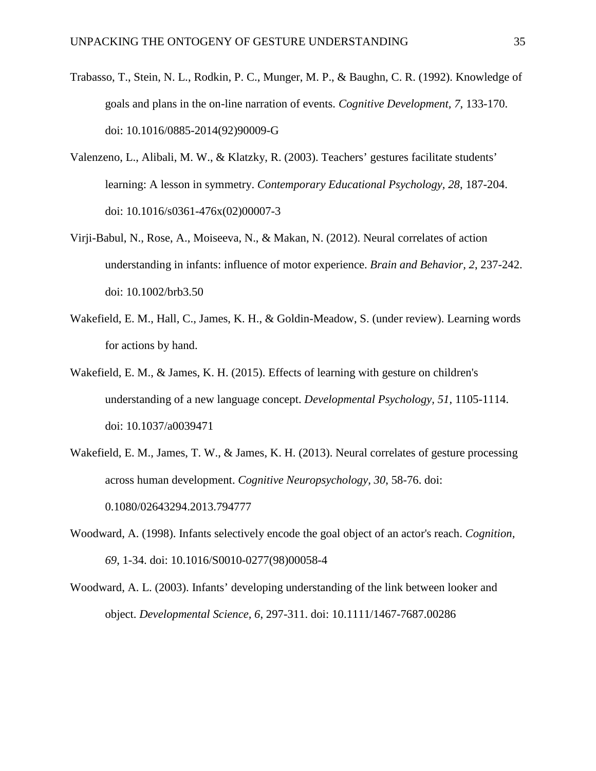- Trabasso, T., Stein, N. L., Rodkin, P. C., Munger, M. P., & Baughn, C. R. (1992). Knowledge of goals and plans in the on-line narration of events. *Cognitive Development, 7*, 133-170. doi: 10.1016/0885-2014(92)90009-G
- Valenzeno, L., Alibali, M. W., & Klatzky, R. (2003). Teachers' gestures facilitate students' learning: A lesson in symmetry. *Contemporary Educational Psychology, 28*, 187-204. doi: 10.1016/s0361-476x(02)00007-3
- Virji-Babul, N., Rose, A., Moiseeva, N., & Makan, N. (2012). Neural correlates of action understanding in infants: influence of motor experience. *Brain and Behavior, 2*, 237-242. doi: 10.1002/brb3.50
- Wakefield, E. M., Hall, C., James, K. H., & Goldin-Meadow, S. (under review). Learning words for actions by hand.
- Wakefield, E. M., & James, K. H. (2015). Effects of learning with gesture on children's understanding of a new language concept. *Developmental Psychology, 51*, 1105-1114. doi: 10.1037/a0039471
- Wakefield, E. M., James, T. W., & James, K. H. (2013). Neural correlates of gesture processing across human development. *Cognitive Neuropsychology, 30*, 58-76. doi: 0.1080/02643294.2013.794777
- Woodward, A. (1998). Infants selectively encode the goal object of an actor's reach. *Cognition, 69*, 1-34. doi: 10.1016/S0010-0277(98)00058-4
- Woodward, A. L. (2003). Infants' developing understanding of the link between looker and object. *Developmental Science, 6*, 297-311. doi: 10.1111/1467-7687.00286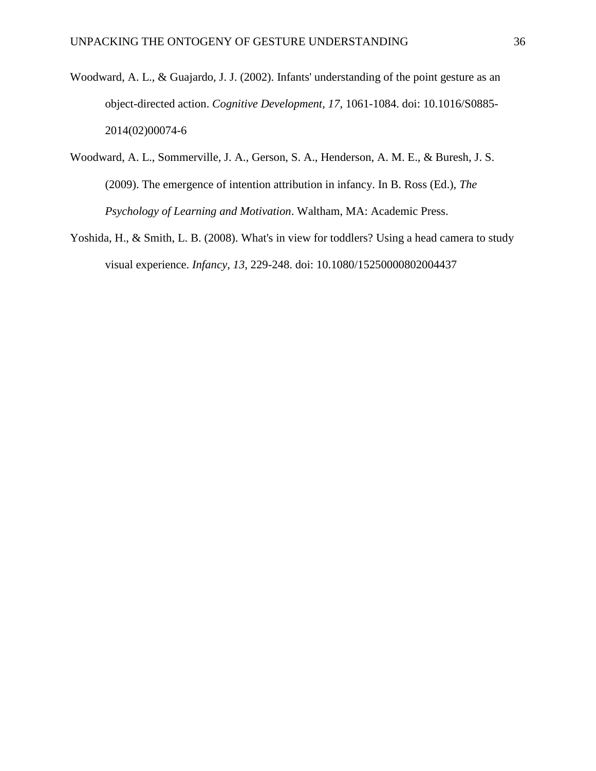- Woodward, A. L., & Guajardo, J. J. (2002). Infants' understanding of the point gesture as an object-directed action. *Cognitive Development, 17*, 1061-1084. doi: 10.1016/S0885- 2014(02)00074-6
- Woodward, A. L., Sommerville, J. A., Gerson, S. A., Henderson, A. M. E., & Buresh, J. S. (2009). The emergence of intention attribution in infancy. In B. Ross (Ed.), *The Psychology of Learning and Motivation*. Waltham, MA: Academic Press.
- Yoshida, H., & Smith, L. B. (2008). What's in view for toddlers? Using a head camera to study visual experience. *Infancy, 13*, 229-248. doi: 10.1080/15250000802004437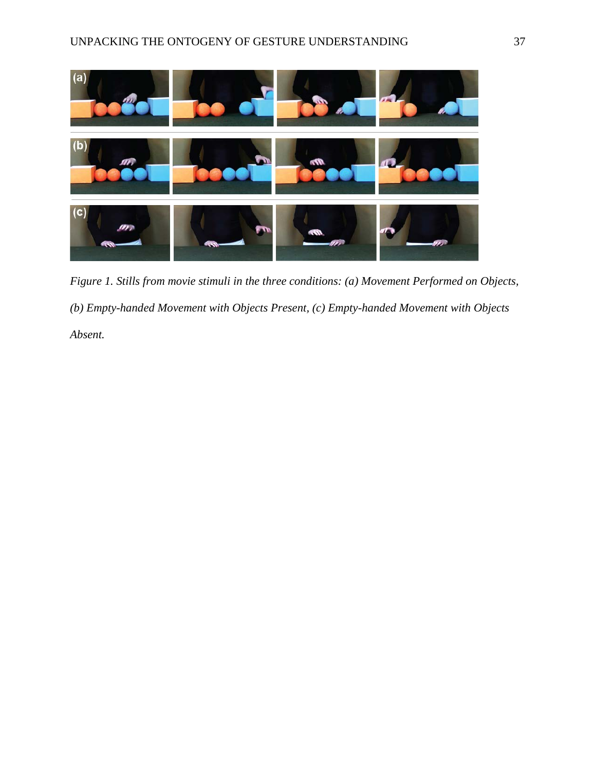

*Figure 1. Stills from movie stimuli in the three conditions: (a) Movement Performed on Objects, (b) Empty-handed Movement with Objects Present, (c) Empty-handed Movement with Objects Absent.*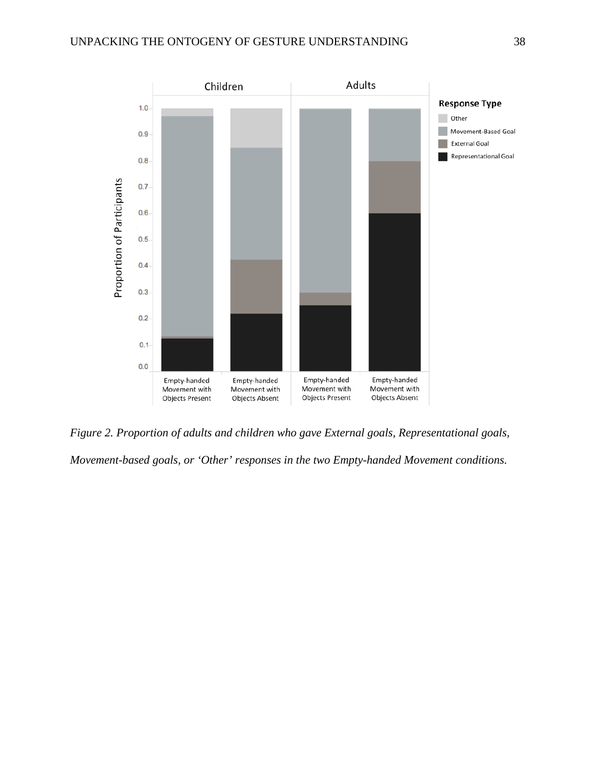

*Figure 2. Proportion of adults and children who gave External goals, Representational goals, Movement-based goals, or 'Other' responses in the two Empty-handed Movement conditions.*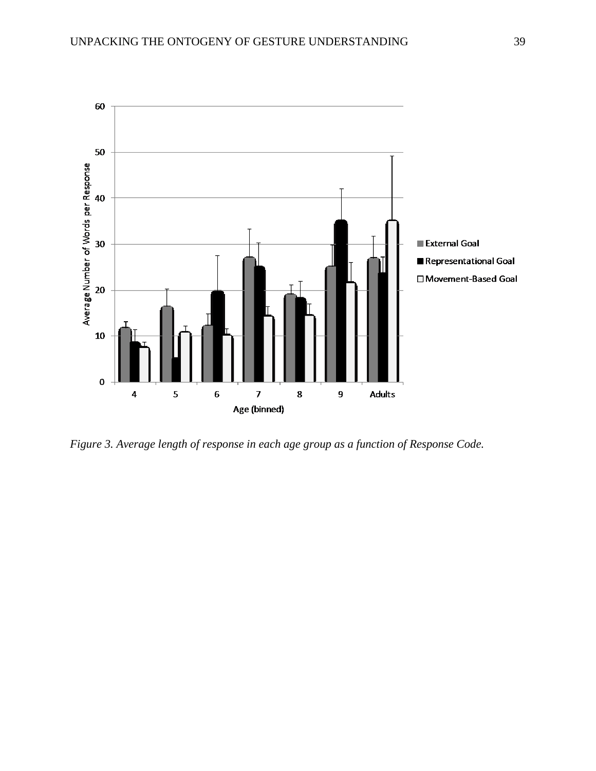

*Figure 3. Average length of response in each age group as a function of Response Code.*